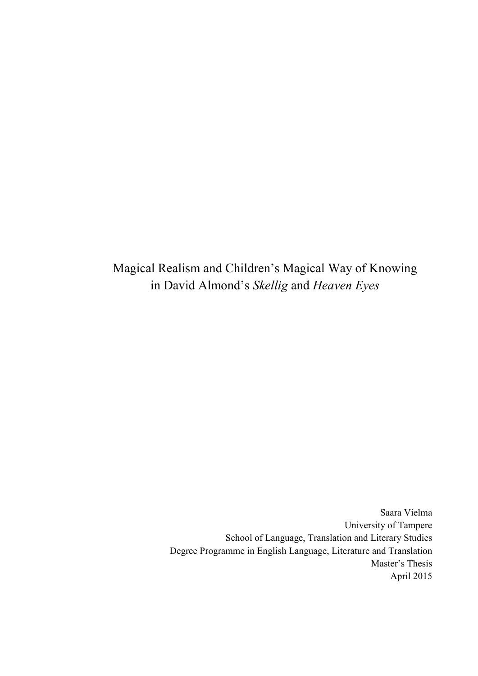Magical Realism and Children's Magical Way of Knowing in David Almond's *Skellig* and *Heaven Eyes*

> Saara Vielma University of Tampere School of Language, Translation and Literary Studies Degree Programme in English Language, Literature and Translation Master's Thesis April 2015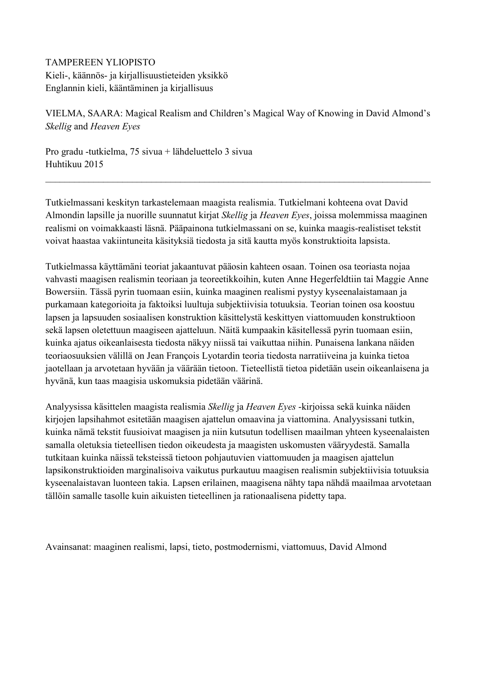# TAMPEREEN YLIOPISTO Kieli-, käännös- ja kirjallisuustieteiden yksikkö

Englannin kieli, kääntäminen ja kirjallisuus

VIELMA, SAARA: Magical Realism and Children's Magical Way of Knowing in David Almond's *Skellig* and *Heaven Eyes*

Pro gradu -tutkielma, 75 sivua + lähdeluettelo 3 sivua Huhtikuu 2015

Tutkielmassani keskityn tarkastelemaan maagista realismia. Tutkielmani kohteena ovat David Almondin lapsille ja nuorille suunnatut kirjat *Skellig* ja *Heaven Eyes*, joissa molemmissa maaginen realismi on voimakkaasti läsnä. Pääpainona tutkielmassani on se, kuinka maagis-realistiset tekstit voivat haastaa vakiintuneita käsityksiä tiedosta ja sitä kautta myös konstruktioita lapsista.

 $\_$  , and the contribution of the contribution of the contribution of the contribution of  $\mathcal{L}_\mathcal{A}$ 

Tutkielmassa käyttämäni teoriat jakaantuvat pääosin kahteen osaan. Toinen osa teoriasta nojaa vahvasti maagisen realismin teoriaan ja teoreetikkoihin, kuten Anne Hegerfeldtiin tai Maggie Anne Bowersiin. Tässä pyrin tuomaan esiin, kuinka maaginen realismi pystyy kyseenalaistamaan ja purkamaan kategorioita ja faktoiksi luultuja subjektiivisia totuuksia. Teorian toinen osa koostuu lapsen ja lapsuuden sosiaalisen konstruktion käsittelystä keskittyen viattomuuden konstruktioon sekä lapsen oletettuun maagiseen ajatteluun. Näitä kumpaakin käsitellessä pyrin tuomaan esiin, kuinka ajatus oikeanlaisesta tiedosta näkyy niissä tai vaikuttaa niihin. Punaisena lankana näiden teoriaosuuksien välillä on Jean François Lyotardin teoria tiedosta narratiiveina ja kuinka tietoa jaotellaan ja arvotetaan hyvään ja väärään tietoon. Tieteellistä tietoa pidetään usein oikeanlaisena ja hyvänä, kun taas maagisia uskomuksia pidetään väärinä.

Analyysissa käsittelen maagista realismia *Skellig* ja *Heaven Eyes* -kirjoissa sekä kuinka näiden kirjojen lapsihahmot esitetään maagisen ajattelun omaavina ja viattomina. Analyysissani tutkin, kuinka nämä tekstit fuusioivat maagisen ja niin kutsutun todellisen maailman yhteen kyseenalaisten samalla oletuksia tieteellisen tiedon oikeudesta ja maagisten uskomusten vääryydestä. Samalla tutkitaan kuinka näissä teksteissä tietoon pohjautuvien viattomuuden ja maagisen ajattelun lapsikonstruktioiden marginalisoiva vaikutus purkautuu maagisen realismin subjektiivisia totuuksia kyseenalaistavan luonteen takia. Lapsen erilainen, maagisena nähty tapa nähdä maailmaa arvotetaan tällöin samalle tasolle kuin aikuisten tieteellinen ja rationaalisena pidetty tapa.

Avainsanat: maaginen realismi, lapsi, tieto, postmodernismi, viattomuus, David Almond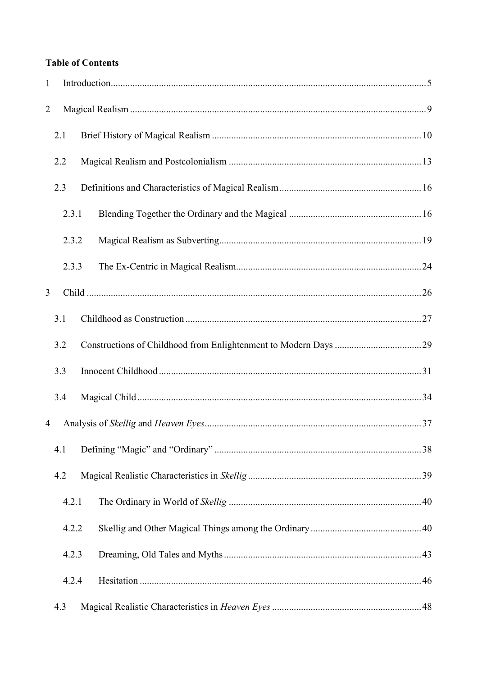# **Table of Contents**

| $\mathbf{1}$   |       |  |
|----------------|-------|--|
| $\overline{2}$ |       |  |
|                | 2.1   |  |
|                | 2.2   |  |
|                | 2.3   |  |
|                | 2.3.1 |  |
|                | 2.3.2 |  |
|                | 2.3.3 |  |
| $\overline{3}$ |       |  |
|                | 3.1   |  |
|                | 3.2   |  |
|                | 3.3   |  |
|                | 3.4   |  |
| 4              |       |  |
|                | 4.1   |  |
|                | 4.2   |  |
|                | 4.2.1 |  |
|                | 4.2.2 |  |
|                | 4.2.3 |  |
|                | 4.2.4 |  |
|                | 4.3   |  |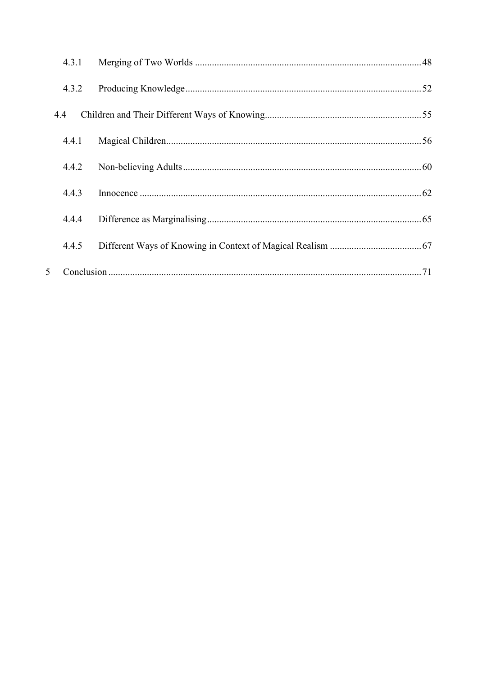|     | 4.3.1 |  |
|-----|-------|--|
|     | 4.3.2 |  |
| 4.4 |       |  |
|     | 4.4.1 |  |
|     | 4.4.2 |  |
|     | 4.4.3 |  |
|     | 4.4.4 |  |
|     | 4.4.5 |  |
| 5   |       |  |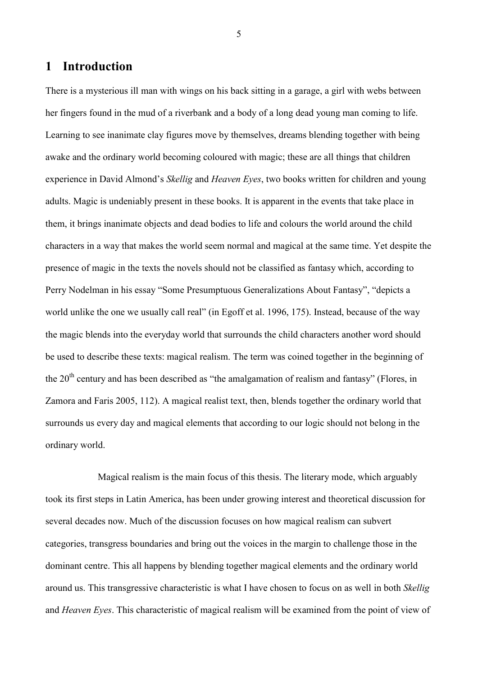# <span id="page-4-0"></span>**1 Introduction**

There is a mysterious ill man with wings on his back sitting in a garage, a girl with webs between her fingers found in the mud of a riverbank and a body of a long dead young man coming to life. Learning to see inanimate clay figures move by themselves, dreams blending together with being awake and the ordinary world becoming coloured with magic; these are all things that children experience in David Almond's *Skellig* and *Heaven Eyes*, two books written for children and young adults. Magic is undeniably present in these books. It is apparent in the events that take place in them, it brings inanimate objects and dead bodies to life and colours the world around the child characters in a way that makes the world seem normal and magical at the same time. Yet despite the presence of magic in the texts the novels should not be classified as fantasy which, according to Perry Nodelman in his essay "Some Presumptuous Generalizations About Fantasy", "depicts a world unlike the one we usually call real" (in Egoff et al. 1996, 175). Instead, because of the way the magic blends into the everyday world that surrounds the child characters another word should be used to describe these texts: magical realism. The term was coined together in the beginning of the  $20<sup>th</sup>$  century and has been described as "the amalgamation of realism and fantasy" (Flores, in Zamora and Faris 2005, 112). A magical realist text, then, blends together the ordinary world that surrounds us every day and magical elements that according to our logic should not belong in the ordinary world.

Magical realism is the main focus of this thesis. The literary mode, which arguably took its first steps in Latin America, has been under growing interest and theoretical discussion for several decades now. Much of the discussion focuses on how magical realism can subvert categories, transgress boundaries and bring out the voices in the margin to challenge those in the dominant centre. This all happens by blending together magical elements and the ordinary world around us. This transgressive characteristic is what I have chosen to focus on as well in both *Skellig* and *Heaven Eyes*. This characteristic of magical realism will be examined from the point of view of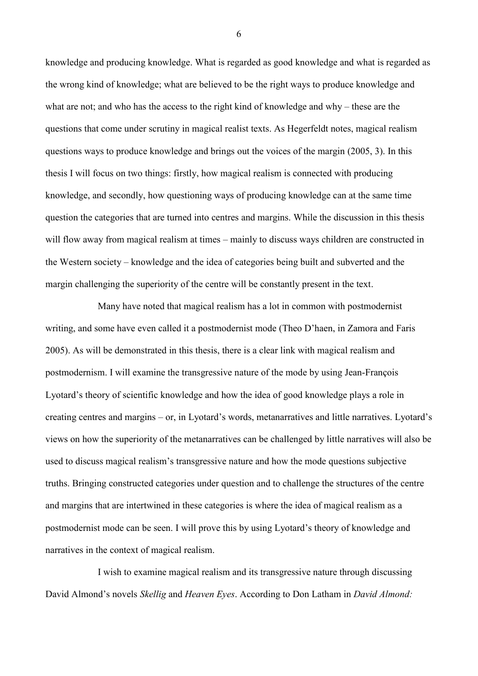knowledge and producing knowledge. What is regarded as good knowledge and what is regarded as the wrong kind of knowledge; what are believed to be the right ways to produce knowledge and what are not; and who has the access to the right kind of knowledge and why – these are the questions that come under scrutiny in magical realist texts. As Hegerfeldt notes, magical realism questions ways to produce knowledge and brings out the voices of the margin (2005, 3). In this thesis I will focus on two things: firstly, how magical realism is connected with producing knowledge, and secondly, how questioning ways of producing knowledge can at the same time question the categories that are turned into centres and margins. While the discussion in this thesis will flow away from magical realism at times – mainly to discuss ways children are constructed in the Western society – knowledge and the idea of categories being built and subverted and the margin challenging the superiority of the centre will be constantly present in the text.

Many have noted that magical realism has a lot in common with postmodernist writing, and some have even called it a postmodernist mode (Theo D'haen, in Zamora and Faris 2005). As will be demonstrated in this thesis, there is a clear link with magical realism and postmodernism. I will examine the transgressive nature of the mode by using Jean-François Lyotard's theory of scientific knowledge and how the idea of good knowledge plays a role in creating centres and margins – or, in Lyotard's words, metanarratives and little narratives. Lyotard's views on how the superiority of the metanarratives can be challenged by little narratives will also be used to discuss magical realism's transgressive nature and how the mode questions subjective truths. Bringing constructed categories under question and to challenge the structures of the centre and margins that are intertwined in these categories is where the idea of magical realism as a postmodernist mode can be seen. I will prove this by using Lyotard's theory of knowledge and narratives in the context of magical realism.

I wish to examine magical realism and its transgressive nature through discussing David Almond's novels *Skellig* and *Heaven Eyes*. According to Don Latham in *David Almond:*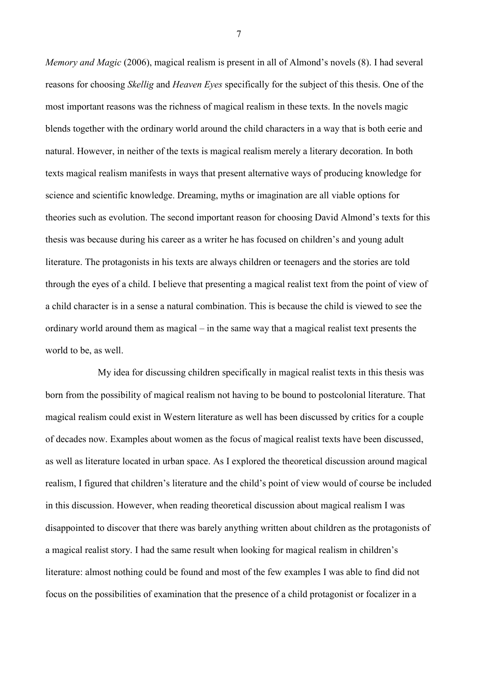*Memory and Magic* (2006), magical realism is present in all of Almond's novels (8). I had several reasons for choosing *Skellig* and *Heaven Eyes* specifically for the subject of this thesis. One of the most important reasons was the richness of magical realism in these texts. In the novels magic blends together with the ordinary world around the child characters in a way that is both eerie and natural. However, in neither of the texts is magical realism merely a literary decoration. In both texts magical realism manifests in ways that present alternative ways of producing knowledge for science and scientific knowledge. Dreaming, myths or imagination are all viable options for theories such as evolution. The second important reason for choosing David Almond's texts for this thesis was because during his career as a writer he has focused on children's and young adult literature. The protagonists in his texts are always children or teenagers and the stories are told through the eyes of a child. I believe that presenting a magical realist text from the point of view of a child character is in a sense a natural combination. This is because the child is viewed to see the ordinary world around them as magical – in the same way that a magical realist text presents the world to be, as well.

My idea for discussing children specifically in magical realist texts in this thesis was born from the possibility of magical realism not having to be bound to postcolonial literature. That magical realism could exist in Western literature as well has been discussed by critics for a couple of decades now. Examples about women as the focus of magical realist texts have been discussed, as well as literature located in urban space. As I explored the theoretical discussion around magical realism, I figured that children's literature and the child's point of view would of course be included in this discussion. However, when reading theoretical discussion about magical realism I was disappointed to discover that there was barely anything written about children as the protagonists of a magical realist story. I had the same result when looking for magical realism in children's literature: almost nothing could be found and most of the few examples I was able to find did not focus on the possibilities of examination that the presence of a child protagonist or focalizer in a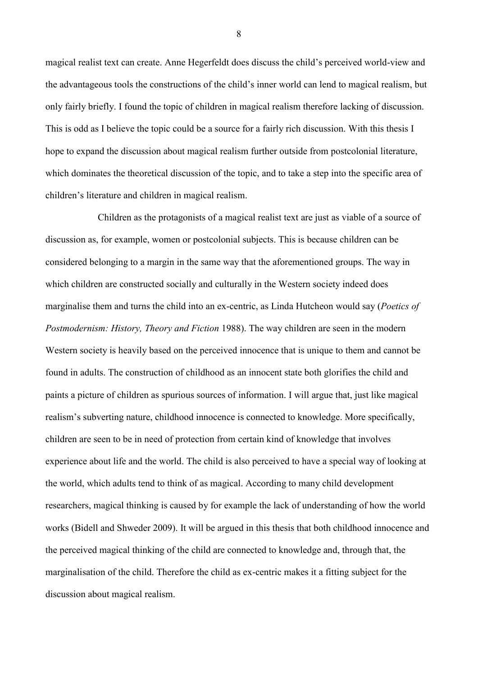magical realist text can create. Anne Hegerfeldt does discuss the child's perceived world-view and the advantageous tools the constructions of the child's inner world can lend to magical realism, but only fairly briefly. I found the topic of children in magical realism therefore lacking of discussion. This is odd as I believe the topic could be a source for a fairly rich discussion. With this thesis I hope to expand the discussion about magical realism further outside from postcolonial literature, which dominates the theoretical discussion of the topic, and to take a step into the specific area of children's literature and children in magical realism.

Children as the protagonists of a magical realist text are just as viable of a source of discussion as, for example, women or postcolonial subjects. This is because children can be considered belonging to a margin in the same way that the aforementioned groups. The way in which children are constructed socially and culturally in the Western society indeed does marginalise them and turns the child into an ex-centric, as Linda Hutcheon would say (*Poetics of Postmodernism: History, Theory and Fiction* 1988). The way children are seen in the modern Western society is heavily based on the perceived innocence that is unique to them and cannot be found in adults. The construction of childhood as an innocent state both glorifies the child and paints a picture of children as spurious sources of information. I will argue that, just like magical realism's subverting nature, childhood innocence is connected to knowledge. More specifically, children are seen to be in need of protection from certain kind of knowledge that involves experience about life and the world. The child is also perceived to have a special way of looking at the world, which adults tend to think of as magical. According to many child development researchers, magical thinking is caused by for example the lack of understanding of how the world works (Bidell and Shweder 2009). It will be argued in this thesis that both childhood innocence and the perceived magical thinking of the child are connected to knowledge and, through that, the marginalisation of the child. Therefore the child as ex-centric makes it a fitting subject for the discussion about magical realism.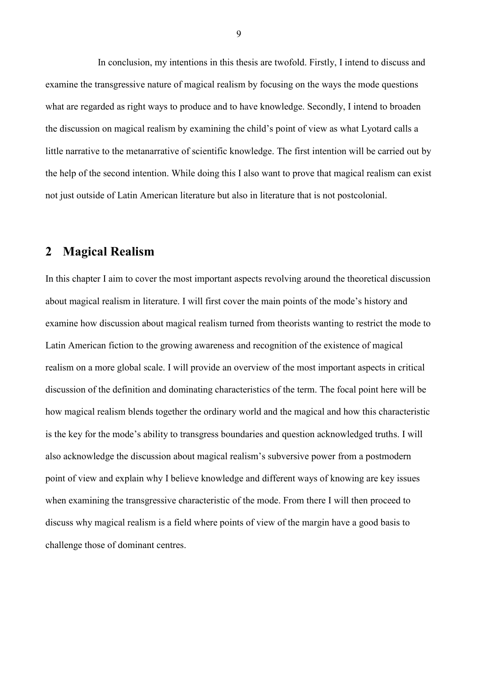In conclusion, my intentions in this thesis are twofold. Firstly, I intend to discuss and examine the transgressive nature of magical realism by focusing on the ways the mode questions what are regarded as right ways to produce and to have knowledge. Secondly, I intend to broaden the discussion on magical realism by examining the child's point of view as what Lyotard calls a little narrative to the metanarrative of scientific knowledge. The first intention will be carried out by the help of the second intention. While doing this I also want to prove that magical realism can exist not just outside of Latin American literature but also in literature that is not postcolonial.

# <span id="page-8-0"></span>**2 Magical Realism**

In this chapter I aim to cover the most important aspects revolving around the theoretical discussion about magical realism in literature. I will first cover the main points of the mode's history and examine how discussion about magical realism turned from theorists wanting to restrict the mode to Latin American fiction to the growing awareness and recognition of the existence of magical realism on a more global scale. I will provide an overview of the most important aspects in critical discussion of the definition and dominating characteristics of the term. The focal point here will be how magical realism blends together the ordinary world and the magical and how this characteristic is the key for the mode's ability to transgress boundaries and question acknowledged truths. I will also acknowledge the discussion about magical realism's subversive power from a postmodern point of view and explain why I believe knowledge and different ways of knowing are key issues when examining the transgressive characteristic of the mode. From there I will then proceed to discuss why magical realism is a field where points of view of the margin have a good basis to challenge those of dominant centres.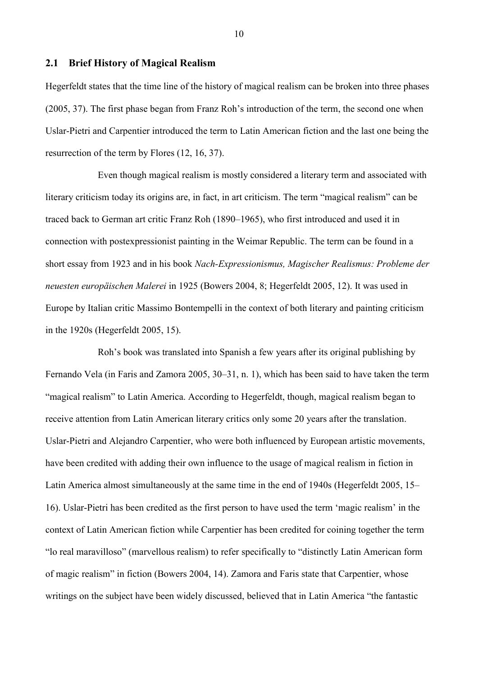### <span id="page-9-0"></span>**2.1 Brief History of Magical Realism**

Hegerfeldt states that the time line of the history of magical realism can be broken into three phases (2005, 37). The first phase began from Franz Roh's introduction of the term, the second one when Uslar-Pietri and Carpentier introduced the term to Latin American fiction and the last one being the resurrection of the term by Flores (12, 16, 37).

Even though magical realism is mostly considered a literary term and associated with literary criticism today its origins are, in fact, in art criticism. The term "magical realism" can be traced back to German art critic Franz Roh (1890–1965), who first introduced and used it in connection with postexpressionist painting in the Weimar Republic. The term can be found in a short essay from 1923 and in his book *Nach-Expressionismus, Magischer Realismus: Probleme der neuesten europäischen Malerei* in 1925 (Bowers 2004, 8; Hegerfeldt 2005, 12). It was used in Europe by Italian critic Massimo Bontempelli in the context of both literary and painting criticism in the 1920s (Hegerfeldt 2005, 15).

Roh's book was translated into Spanish a few years after its original publishing by Fernando Vela (in Faris and Zamora 2005, 30–31, n. 1), which has been said to have taken the term "magical realism" to Latin America. According to Hegerfeldt, though, magical realism began to receive attention from Latin American literary critics only some 20 years after the translation. Uslar-Pietri and Alejandro Carpentier, who were both influenced by European artistic movements, have been credited with adding their own influence to the usage of magical realism in fiction in Latin America almost simultaneously at the same time in the end of 1940s (Hegerfeldt 2005, 15– 16). Uslar-Pietri has been credited as the first person to have used the term 'magic realism' in the context of Latin American fiction while Carpentier has been credited for coining together the term "lo real maravilloso" (marvellous realism) to refer specifically to "distinctly Latin American form of magic realism" in fiction (Bowers 2004, 14). Zamora and Faris state that Carpentier, whose writings on the subject have been widely discussed, believed that in Latin America "the fantastic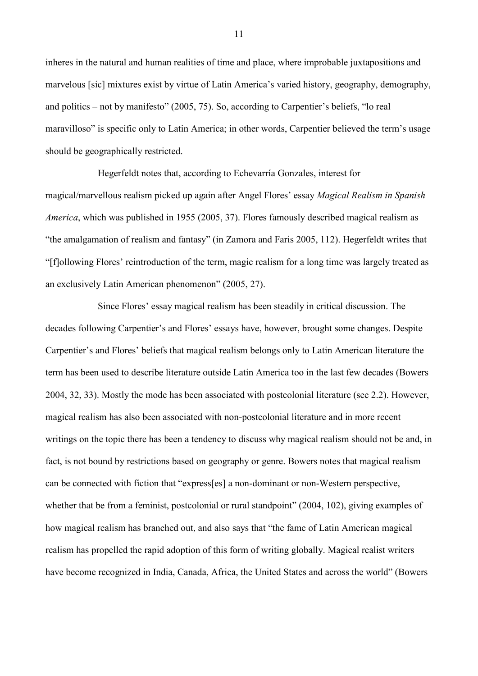inheres in the natural and human realities of time and place, where improbable juxtapositions and marvelous [sic] mixtures exist by virtue of Latin America's varied history, geography, demography, and politics – not by manifesto" (2005, 75). So, according to Carpentier's beliefs, "lo real maravilloso" is specific only to Latin America; in other words, Carpentier believed the term's usage should be geographically restricted.

Hegerfeldt notes that, according to Echevarría Gonzales, interest for magical/marvellous realism picked up again after Angel Flores' essay *Magical Realism in Spanish America*, which was published in 1955 (2005, 37). Flores famously described magical realism as "the amalgamation of realism and fantasy" (in Zamora and Faris 2005, 112). Hegerfeldt writes that "[f]ollowing Flores' reintroduction of the term, magic realism for a long time was largely treated as an exclusively Latin American phenomenon" (2005, 27).

Since Flores' essay magical realism has been steadily in critical discussion. The decades following Carpentier's and Flores' essays have, however, brought some changes. Despite Carpentier's and Flores' beliefs that magical realism belongs only to Latin American literature the term has been used to describe literature outside Latin America too in the last few decades (Bowers 2004, 32, 33). Mostly the mode has been associated with postcolonial literature (see 2.2). However, magical realism has also been associated with non-postcolonial literature and in more recent writings on the topic there has been a tendency to discuss why magical realism should not be and, in fact, is not bound by restrictions based on geography or genre. Bowers notes that magical realism can be connected with fiction that "express[es] a non-dominant or non-Western perspective, whether that be from a feminist, postcolonial or rural standpoint" (2004, 102), giving examples of how magical realism has branched out, and also says that "the fame of Latin American magical realism has propelled the rapid adoption of this form of writing globally. Magical realist writers have become recognized in India, Canada, Africa, the United States and across the world" (Bowers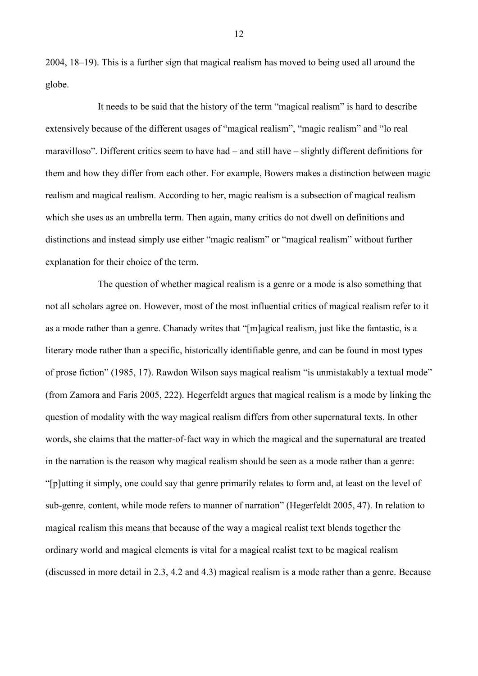2004, 18–19). This is a further sign that magical realism has moved to being used all around the globe.

It needs to be said that the history of the term "magical realism" is hard to describe extensively because of the different usages of "magical realism", "magic realism" and "lo real maravilloso". Different critics seem to have had – and still have – slightly different definitions for them and how they differ from each other. For example, Bowers makes a distinction between magic realism and magical realism. According to her, magic realism is a subsection of magical realism which she uses as an umbrella term. Then again, many critics do not dwell on definitions and distinctions and instead simply use either "magic realism" or "magical realism" without further explanation for their choice of the term.

The question of whether magical realism is a genre or a mode is also something that not all scholars agree on. However, most of the most influential critics of magical realism refer to it as a mode rather than a genre. Chanady writes that "[m]agical realism, just like the fantastic, is a literary mode rather than a specific, historically identifiable genre, and can be found in most types of prose fiction" (1985, 17). Rawdon Wilson says magical realism "is unmistakably a textual mode" (from Zamora and Faris 2005, 222). Hegerfeldt argues that magical realism is a mode by linking the question of modality with the way magical realism differs from other supernatural texts. In other words, she claims that the matter-of-fact way in which the magical and the supernatural are treated in the narration is the reason why magical realism should be seen as a mode rather than a genre: "[p]utting it simply, one could say that genre primarily relates to form and, at least on the level of sub-genre, content, while mode refers to manner of narration" (Hegerfeldt 2005, 47). In relation to magical realism this means that because of the way a magical realist text blends together the ordinary world and magical elements is vital for a magical realist text to be magical realism (discussed in more detail in 2.3, 4.2 and 4.3) magical realism is a mode rather than a genre. Because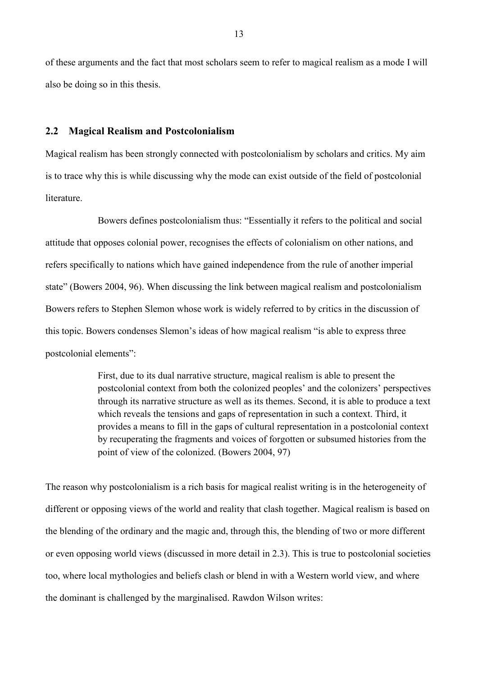of these arguments and the fact that most scholars seem to refer to magical realism as a mode I will also be doing so in this thesis.

### <span id="page-12-0"></span>**2.2 Magical Realism and Postcolonialism**

Magical realism has been strongly connected with postcolonialism by scholars and critics. My aim is to trace why this is while discussing why the mode can exist outside of the field of postcolonial literature.

Bowers defines postcolonialism thus: "Essentially it refers to the political and social attitude that opposes colonial power, recognises the effects of colonialism on other nations, and refers specifically to nations which have gained independence from the rule of another imperial state" (Bowers 2004, 96). When discussing the link between magical realism and postcolonialism Bowers refers to Stephen Slemon whose work is widely referred to by critics in the discussion of this topic. Bowers condenses Slemon's ideas of how magical realism "is able to express three postcolonial elements":

> First, due to its dual narrative structure, magical realism is able to present the postcolonial context from both the colonized peoples' and the colonizers' perspectives through its narrative structure as well as its themes. Second, it is able to produce a text which reveals the tensions and gaps of representation in such a context. Third, it provides a means to fill in the gaps of cultural representation in a postcolonial context by recuperating the fragments and voices of forgotten or subsumed histories from the point of view of the colonized. (Bowers 2004, 97)

The reason why postcolonialism is a rich basis for magical realist writing is in the heterogeneity of different or opposing views of the world and reality that clash together. Magical realism is based on the blending of the ordinary and the magic and, through this, the blending of two or more different or even opposing world views (discussed in more detail in 2.3). This is true to postcolonial societies too, where local mythologies and beliefs clash or blend in with a Western world view, and where the dominant is challenged by the marginalised. Rawdon Wilson writes: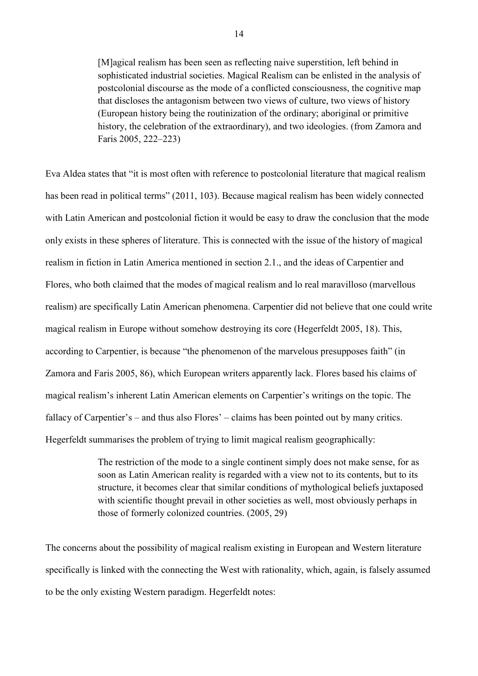[M]agical realism has been seen as reflecting naive superstition, left behind in sophisticated industrial societies. Magical Realism can be enlisted in the analysis of postcolonial discourse as the mode of a conflicted consciousness, the cognitive map that discloses the antagonism between two views of culture, two views of history (European history being the routinization of the ordinary; aboriginal or primitive history, the celebration of the extraordinary), and two ideologies. (from Zamora and Faris 2005, 222–223)

Eva Aldea states that "it is most often with reference to postcolonial literature that magical realism has been read in political terms" (2011, 103). Because magical realism has been widely connected with Latin American and postcolonial fiction it would be easy to draw the conclusion that the mode only exists in these spheres of literature. This is connected with the issue of the history of magical realism in fiction in Latin America mentioned in section 2.1., and the ideas of Carpentier and Flores, who both claimed that the modes of magical realism and lo real maravilloso (marvellous realism) are specifically Latin American phenomena. Carpentier did not believe that one could write magical realism in Europe without somehow destroying its core (Hegerfeldt 2005, 18). This, according to Carpentier, is because "the phenomenon of the marvelous presupposes faith" (in Zamora and Faris 2005, 86), which European writers apparently lack. Flores based his claims of magical realism's inherent Latin American elements on Carpentier's writings on the topic. The fallacy of Carpentier's – and thus also Flores' – claims has been pointed out by many critics. Hegerfeldt summarises the problem of trying to limit magical realism geographically:

> The restriction of the mode to a single continent simply does not make sense, for as soon as Latin American reality is regarded with a view not to its contents, but to its structure, it becomes clear that similar conditions of mythological beliefs juxtaposed with scientific thought prevail in other societies as well, most obviously perhaps in those of formerly colonized countries. (2005, 29)

The concerns about the possibility of magical realism existing in European and Western literature specifically is linked with the connecting the West with rationality, which, again, is falsely assumed to be the only existing Western paradigm. Hegerfeldt notes: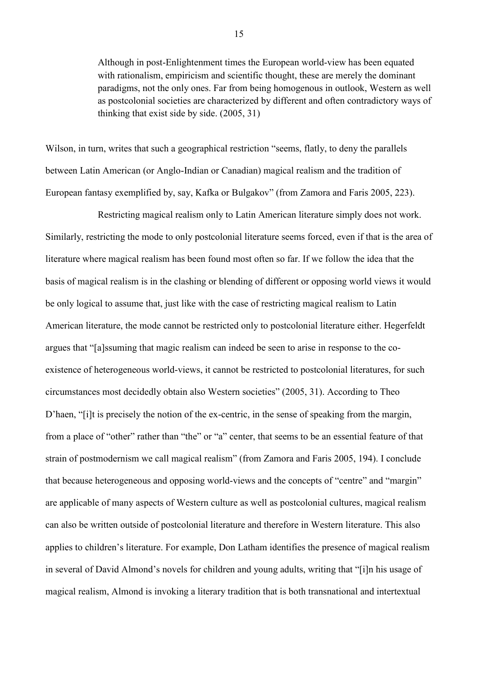Although in post-Enlightenment times the European world-view has been equated with rationalism, empiricism and scientific thought, these are merely the dominant paradigms, not the only ones. Far from being homogenous in outlook, Western as well as postcolonial societies are characterized by different and often contradictory ways of thinking that exist side by side. (2005, 31)

Wilson, in turn, writes that such a geographical restriction "seems, flatly, to deny the parallels between Latin American (or Anglo-Indian or Canadian) magical realism and the tradition of European fantasy exemplified by, say, Kafka or Bulgakov" (from Zamora and Faris 2005, 223).

Restricting magical realism only to Latin American literature simply does not work. Similarly, restricting the mode to only postcolonial literature seems forced, even if that is the area of literature where magical realism has been found most often so far. If we follow the idea that the basis of magical realism is in the clashing or blending of different or opposing world views it would be only logical to assume that, just like with the case of restricting magical realism to Latin American literature, the mode cannot be restricted only to postcolonial literature either. Hegerfeldt argues that "[a]ssuming that magic realism can indeed be seen to arise in response to the coexistence of heterogeneous world-views, it cannot be restricted to postcolonial literatures, for such circumstances most decidedly obtain also Western societies" (2005, 31). According to Theo D'haen, "[i]t is precisely the notion of the ex-centric, in the sense of speaking from the margin, from a place of "other" rather than "the" or "a" center, that seems to be an essential feature of that strain of postmodernism we call magical realism" (from Zamora and Faris 2005, 194). I conclude that because heterogeneous and opposing world-views and the concepts of "centre" and "margin" are applicable of many aspects of Western culture as well as postcolonial cultures, magical realism can also be written outside of postcolonial literature and therefore in Western literature. This also applies to children's literature. For example, Don Latham identifies the presence of magical realism in several of David Almond's novels for children and young adults, writing that "[i]n his usage of magical realism, Almond is invoking a literary tradition that is both transnational and intertextual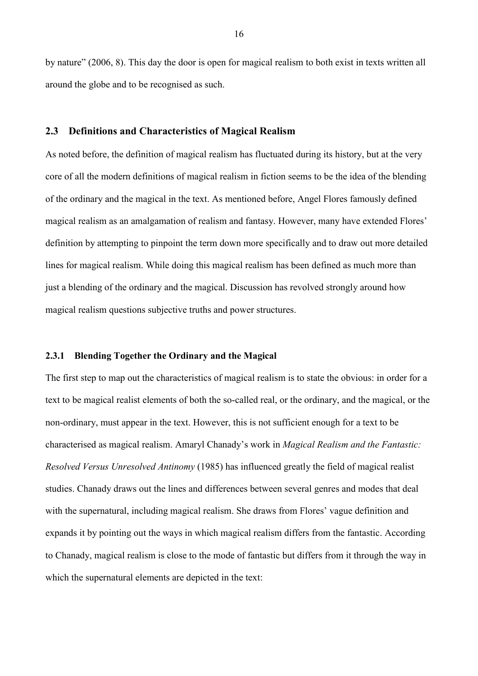by nature" (2006, 8). This day the door is open for magical realism to both exist in texts written all around the globe and to be recognised as such.

## <span id="page-15-0"></span>**2.3 Definitions and Characteristics of Magical Realism**

As noted before, the definition of magical realism has fluctuated during its history, but at the very core of all the modern definitions of magical realism in fiction seems to be the idea of the blending of the ordinary and the magical in the text. As mentioned before, Angel Flores famously defined magical realism as an amalgamation of realism and fantasy. However, many have extended Flores' definition by attempting to pinpoint the term down more specifically and to draw out more detailed lines for magical realism. While doing this magical realism has been defined as much more than just a blending of the ordinary and the magical. Discussion has revolved strongly around how magical realism questions subjective truths and power structures.

### <span id="page-15-1"></span>**2.3.1 Blending Together the Ordinary and the Magical**

The first step to map out the characteristics of magical realism is to state the obvious: in order for a text to be magical realist elements of both the so-called real, or the ordinary, and the magical, or the non-ordinary, must appear in the text. However, this is not sufficient enough for a text to be characterised as magical realism. Amaryl Chanady's work in *Magical Realism and the Fantastic: Resolved Versus Unresolved Antinomy* (1985) has influenced greatly the field of magical realist studies. Chanady draws out the lines and differences between several genres and modes that deal with the supernatural, including magical realism. She draws from Flores' vague definition and expands it by pointing out the ways in which magical realism differs from the fantastic. According to Chanady, magical realism is close to the mode of fantastic but differs from it through the way in which the supernatural elements are depicted in the text: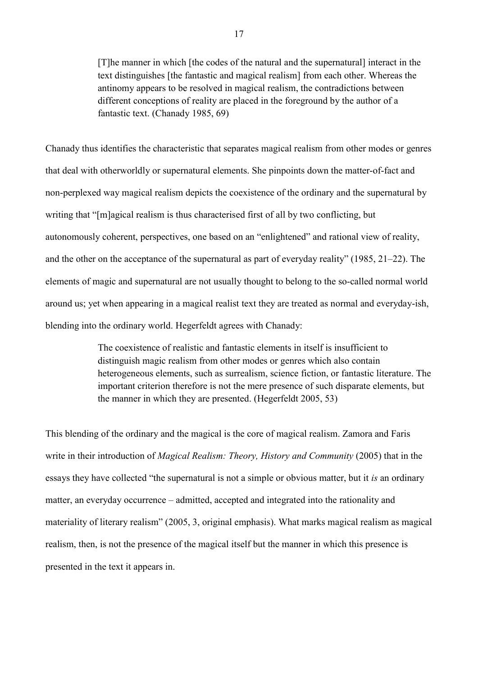[T]he manner in which [the codes of the natural and the supernatural] interact in the text distinguishes [the fantastic and magical realism] from each other. Whereas the antinomy appears to be resolved in magical realism, the contradictions between different conceptions of reality are placed in the foreground by the author of a fantastic text. (Chanady 1985, 69)

Chanady thus identifies the characteristic that separates magical realism from other modes or genres that deal with otherworldly or supernatural elements. She pinpoints down the matter-of-fact and non-perplexed way magical realism depicts the coexistence of the ordinary and the supernatural by writing that "[m]agical realism is thus characterised first of all by two conflicting, but autonomously coherent, perspectives, one based on an "enlightened" and rational view of reality, and the other on the acceptance of the supernatural as part of everyday reality" (1985, 21–22). The elements of magic and supernatural are not usually thought to belong to the so-called normal world around us; yet when appearing in a magical realist text they are treated as normal and everyday-ish, blending into the ordinary world. Hegerfeldt agrees with Chanady:

> The coexistence of realistic and fantastic elements in itself is insufficient to distinguish magic realism from other modes or genres which also contain heterogeneous elements, such as surrealism, science fiction, or fantastic literature. The important criterion therefore is not the mere presence of such disparate elements, but the manner in which they are presented. (Hegerfeldt 2005, 53)

This blending of the ordinary and the magical is the core of magical realism. Zamora and Faris write in their introduction of *Magical Realism: Theory, History and Community* (2005) that in the essays they have collected "the supernatural is not a simple or obvious matter, but it *is* an ordinary matter, an everyday occurrence – admitted, accepted and integrated into the rationality and materiality of literary realism" (2005, 3, original emphasis). What marks magical realism as magical realism, then, is not the presence of the magical itself but the manner in which this presence is presented in the text it appears in.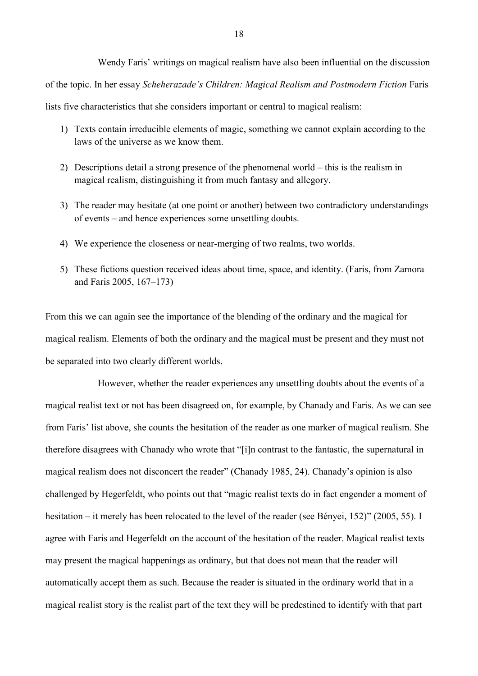Wendy Faris' writings on magical realism have also been influential on the discussion

of the topic. In her essay *Scheherazade's Children: Magical Realism and Postmodern Fiction* Faris

lists five characteristics that she considers important or central to magical realism:

- 1) Texts contain irreducible elements of magic, something we cannot explain according to the laws of the universe as we know them.
- 2) Descriptions detail a strong presence of the phenomenal world this is the realism in magical realism, distinguishing it from much fantasy and allegory.
- 3) The reader may hesitate (at one point or another) between two contradictory understandings of events – and hence experiences some unsettling doubts.
- 4) We experience the closeness or near-merging of two realms, two worlds.
- 5) These fictions question received ideas about time, space, and identity. (Faris, from Zamora and Faris 2005, 167–173)

From this we can again see the importance of the blending of the ordinary and the magical for magical realism. Elements of both the ordinary and the magical must be present and they must not be separated into two clearly different worlds.

However, whether the reader experiences any unsettling doubts about the events of a magical realist text or not has been disagreed on, for example, by Chanady and Faris. As we can see from Faris' list above, she counts the hesitation of the reader as one marker of magical realism. She therefore disagrees with Chanady who wrote that "[i]n contrast to the fantastic, the supernatural in magical realism does not disconcert the reader" (Chanady 1985, 24). Chanady's opinion is also challenged by Hegerfeldt, who points out that "magic realist texts do in fact engender a moment of hesitation – it merely has been relocated to the level of the reader (see Bényei, 152)" (2005, 55). I agree with Faris and Hegerfeldt on the account of the hesitation of the reader. Magical realist texts may present the magical happenings as ordinary, but that does not mean that the reader will automatically accept them as such. Because the reader is situated in the ordinary world that in a magical realist story is the realist part of the text they will be predestined to identify with that part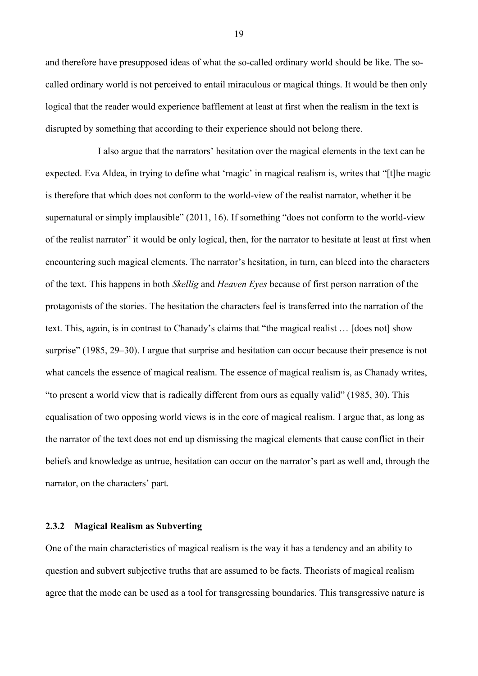and therefore have presupposed ideas of what the so-called ordinary world should be like. The socalled ordinary world is not perceived to entail miraculous or magical things. It would be then only logical that the reader would experience bafflement at least at first when the realism in the text is disrupted by something that according to their experience should not belong there.

I also argue that the narrators' hesitation over the magical elements in the text can be expected. Eva Aldea, in trying to define what 'magic' in magical realism is, writes that "[t]he magic is therefore that which does not conform to the world-view of the realist narrator, whether it be supernatural or simply implausible" (2011, 16). If something "does not conform to the world-view of the realist narrator" it would be only logical, then, for the narrator to hesitate at least at first when encountering such magical elements. The narrator's hesitation, in turn, can bleed into the characters of the text. This happens in both *Skellig* and *Heaven Eyes* because of first person narration of the protagonists of the stories. The hesitation the characters feel is transferred into the narration of the text. This, again, is in contrast to Chanady's claims that "the magical realist … [does not] show surprise" (1985, 29–30). I argue that surprise and hesitation can occur because their presence is not what cancels the essence of magical realism. The essence of magical realism is, as Chanady writes, "to present a world view that is radically different from ours as equally valid" (1985, 30). This equalisation of two opposing world views is in the core of magical realism. I argue that, as long as the narrator of the text does not end up dismissing the magical elements that cause conflict in their beliefs and knowledge as untrue, hesitation can occur on the narrator's part as well and, through the narrator, on the characters' part.

## <span id="page-18-0"></span>**2.3.2 Magical Realism as Subverting**

One of the main characteristics of magical realism is the way it has a tendency and an ability to question and subvert subjective truths that are assumed to be facts. Theorists of magical realism agree that the mode can be used as a tool for transgressing boundaries. This transgressive nature is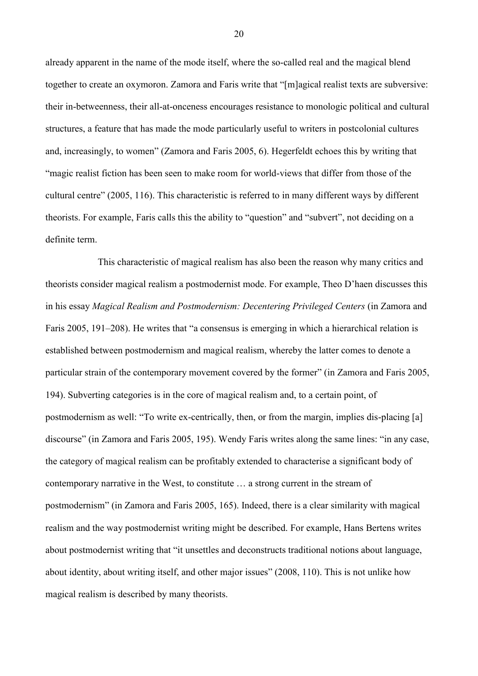already apparent in the name of the mode itself, where the so-called real and the magical blend together to create an oxymoron. Zamora and Faris write that "[m]agical realist texts are subversive: their in-betweenness, their all-at-onceness encourages resistance to monologic political and cultural structures, a feature that has made the mode particularly useful to writers in postcolonial cultures and, increasingly, to women" (Zamora and Faris 2005, 6). Hegerfeldt echoes this by writing that "magic realist fiction has been seen to make room for world-views that differ from those of the cultural centre" (2005, 116). This characteristic is referred to in many different ways by different theorists. For example, Faris calls this the ability to "question" and "subvert", not deciding on a definite term.

This characteristic of magical realism has also been the reason why many critics and theorists consider magical realism a postmodernist mode. For example, Theo D'haen discusses this in his essay *Magical Realism and Postmodernism: Decentering Privileged Centers* (in Zamora and Faris 2005, 191–208). He writes that "a consensus is emerging in which a hierarchical relation is established between postmodernism and magical realism, whereby the latter comes to denote a particular strain of the contemporary movement covered by the former" (in Zamora and Faris 2005, 194). Subverting categories is in the core of magical realism and, to a certain point, of postmodernism as well: "To write ex-centrically, then, or from the margin, implies dis-placing [a] discourse" (in Zamora and Faris 2005, 195). Wendy Faris writes along the same lines: "in any case, the category of magical realism can be profitably extended to characterise a significant body of contemporary narrative in the West, to constitute … a strong current in the stream of postmodernism" (in Zamora and Faris 2005, 165). Indeed, there is a clear similarity with magical realism and the way postmodernist writing might be described. For example, Hans Bertens writes about postmodernist writing that "it unsettles and deconstructs traditional notions about language, about identity, about writing itself, and other major issues" (2008, 110). This is not unlike how magical realism is described by many theorists.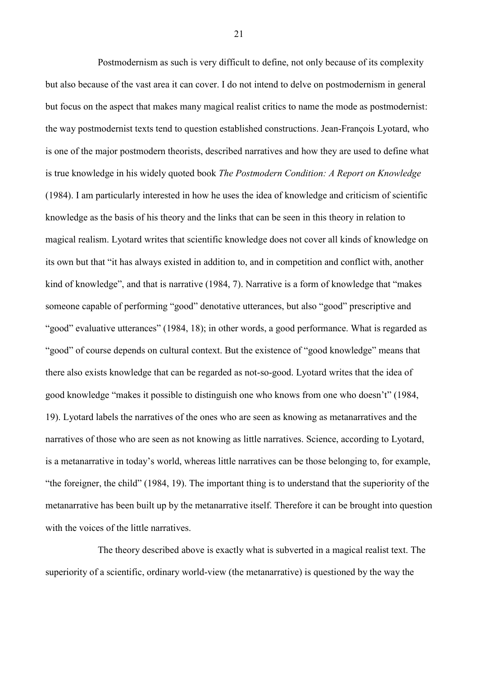Postmodernism as such is very difficult to define, not only because of its complexity but also because of the vast area it can cover. I do not intend to delve on postmodernism in general but focus on the aspect that makes many magical realist critics to name the mode as postmodernist: the way postmodernist texts tend to question established constructions. Jean-François Lyotard, who is one of the major postmodern theorists, described narratives and how they are used to define what is true knowledge in his widely quoted book *The Postmodern Condition: A Report on Knowledge* (1984). I am particularly interested in how he uses the idea of knowledge and criticism of scientific knowledge as the basis of his theory and the links that can be seen in this theory in relation to magical realism. Lyotard writes that scientific knowledge does not cover all kinds of knowledge on its own but that "it has always existed in addition to, and in competition and conflict with, another kind of knowledge", and that is narrative (1984, 7). Narrative is a form of knowledge that "makes someone capable of performing "good" denotative utterances, but also "good" prescriptive and "good" evaluative utterances" (1984, 18); in other words, a good performance. What is regarded as "good" of course depends on cultural context. But the existence of "good knowledge" means that there also exists knowledge that can be regarded as not-so-good. Lyotard writes that the idea of good knowledge "makes it possible to distinguish one who knows from one who doesn't" (1984, 19). Lyotard labels the narratives of the ones who are seen as knowing as metanarratives and the narratives of those who are seen as not knowing as little narratives. Science, according to Lyotard, is a metanarrative in today's world, whereas little narratives can be those belonging to, for example, "the foreigner, the child" (1984, 19). The important thing is to understand that the superiority of the metanarrative has been built up by the metanarrative itself. Therefore it can be brought into question with the voices of the little narratives.

The theory described above is exactly what is subverted in a magical realist text. The superiority of a scientific, ordinary world-view (the metanarrative) is questioned by the way the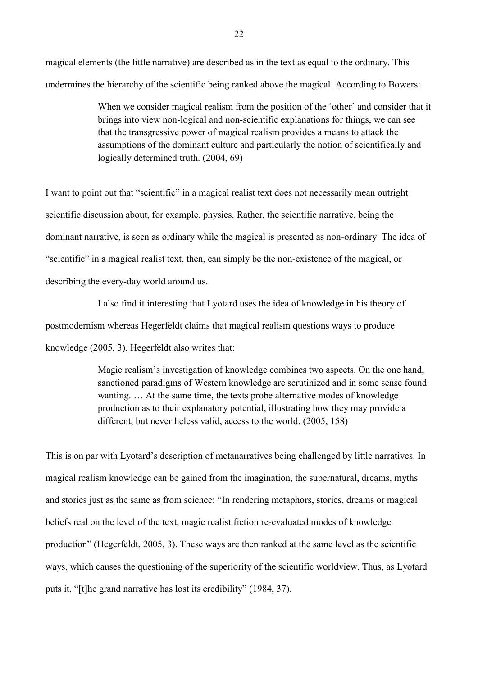magical elements (the little narrative) are described as in the text as equal to the ordinary. This undermines the hierarchy of the scientific being ranked above the magical. According to Bowers:

> When we consider magical realism from the position of the 'other' and consider that it brings into view non-logical and non-scientific explanations for things, we can see that the transgressive power of magical realism provides a means to attack the assumptions of the dominant culture and particularly the notion of scientifically and logically determined truth. (2004, 69)

I want to point out that "scientific" in a magical realist text does not necessarily mean outright scientific discussion about, for example, physics. Rather, the scientific narrative, being the dominant narrative, is seen as ordinary while the magical is presented as non-ordinary. The idea of "scientific" in a magical realist text, then, can simply be the non-existence of the magical, or describing the every-day world around us.

I also find it interesting that Lyotard uses the idea of knowledge in his theory of postmodernism whereas Hegerfeldt claims that magical realism questions ways to produce knowledge (2005, 3). Hegerfeldt also writes that:

> Magic realism's investigation of knowledge combines two aspects. On the one hand, sanctioned paradigms of Western knowledge are scrutinized and in some sense found wanting. … At the same time, the texts probe alternative modes of knowledge production as to their explanatory potential, illustrating how they may provide a different, but nevertheless valid, access to the world. (2005, 158)

This is on par with Lyotard's description of metanarratives being challenged by little narratives. In magical realism knowledge can be gained from the imagination, the supernatural, dreams, myths and stories just as the same as from science: "In rendering metaphors, stories, dreams or magical beliefs real on the level of the text, magic realist fiction re-evaluated modes of knowledge production" (Hegerfeldt, 2005, 3). These ways are then ranked at the same level as the scientific ways, which causes the questioning of the superiority of the scientific worldview. Thus, as Lyotard puts it, "[t]he grand narrative has lost its credibility" (1984, 37).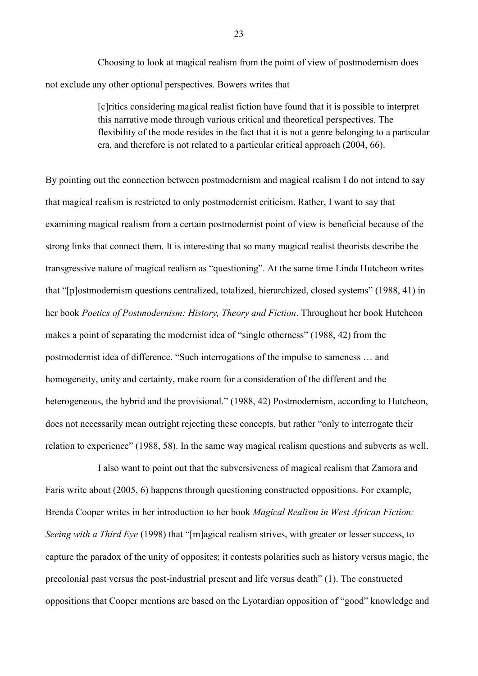Choosing to look at magical realism from the point of view of postmodernism does not exclude any other optional perspectives. Bowers writes that

> [c]ritics considering magical realist fiction have found that it is possible to interpret this narrative mode through various critical and theoretical perspectives. The flexibility of the mode resides in the fact that it is not a genre belonging to a particular era, and therefore is not related to a particular critical approach (2004, 66).

By pointing out the connection between postmodernism and magical realism I do not intend to say that magical realism is restricted to only postmodernist criticism. Rather, I want to say that examining magical realism from a certain postmodernist point of view is beneficial because of the strong links that connect them. It is interesting that so many magical realist theorists describe the transgressive nature of magical realism as "questioning". At the same time Linda Hutcheon writes that "[p]ostmodernism questions centralized, totalized, hierarchized, closed systems" (1988, 41) in her book *Poetics of Postmodernism: History, Theory and Fiction*. Throughout her book Hutcheon makes a point of separating the modernist idea of "single otherness" (1988, 42) from the postmodernist idea of difference. "Such interrogations of the impulse to sameness … and homogeneity, unity and certainty, make room for a consideration of the different and the heterogeneous, the hybrid and the provisional." (1988, 42) Postmodernism, according to Hutcheon, does not necessarily mean outright rejecting these concepts, but rather "only to interrogate their relation to experience" (1988, 58). In the same way magical realism questions and subverts as well.

I also want to point out that the subversiveness of magical realism that Zamora and Faris write about (2005, 6) happens through questioning constructed oppositions. For example, Brenda Cooper writes in her introduction to her book *Magical Realism in West African Fiction: Seeing with a Third Eye* (1998) that "[m]agical realism strives, with greater or lesser success, to capture the paradox of the unity of opposites; it contests polarities such as history versus magic, the precolonial past versus the post-industrial present and life versus death" (1). The constructed oppositions that Cooper mentions are based on the Lyotardian opposition of "good" knowledge and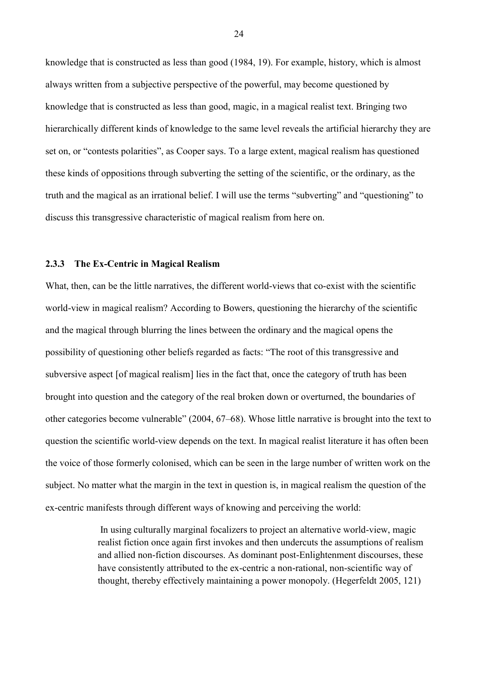knowledge that is constructed as less than good (1984, 19). For example, history, which is almost always written from a subjective perspective of the powerful, may become questioned by knowledge that is constructed as less than good, magic, in a magical realist text. Bringing two hierarchically different kinds of knowledge to the same level reveals the artificial hierarchy they are set on, or "contests polarities", as Cooper says. To a large extent, magical realism has questioned these kinds of oppositions through subverting the setting of the scientific, or the ordinary, as the truth and the magical as an irrational belief. I will use the terms "subverting" and "questioning" to discuss this transgressive characteristic of magical realism from here on.

#### <span id="page-23-0"></span>**2.3.3 The Ex-Centric in Magical Realism**

What, then, can be the little narratives, the different world-views that co-exist with the scientific world-view in magical realism? According to Bowers, questioning the hierarchy of the scientific and the magical through blurring the lines between the ordinary and the magical opens the possibility of questioning other beliefs regarded as facts: "The root of this transgressive and subversive aspect [of magical realism] lies in the fact that, once the category of truth has been brought into question and the category of the real broken down or overturned, the boundaries of other categories become vulnerable" (2004, 67–68). Whose little narrative is brought into the text to question the scientific world-view depends on the text. In magical realist literature it has often been the voice of those formerly colonised, which can be seen in the large number of written work on the subject. No matter what the margin in the text in question is, in magical realism the question of the ex-centric manifests through different ways of knowing and perceiving the world:

> In using culturally marginal focalizers to project an alternative world-view, magic realist fiction once again first invokes and then undercuts the assumptions of realism and allied non-fiction discourses. As dominant post-Enlightenment discourses, these have consistently attributed to the ex-centric a non-rational, non-scientific way of thought, thereby effectively maintaining a power monopoly. (Hegerfeldt 2005, 121)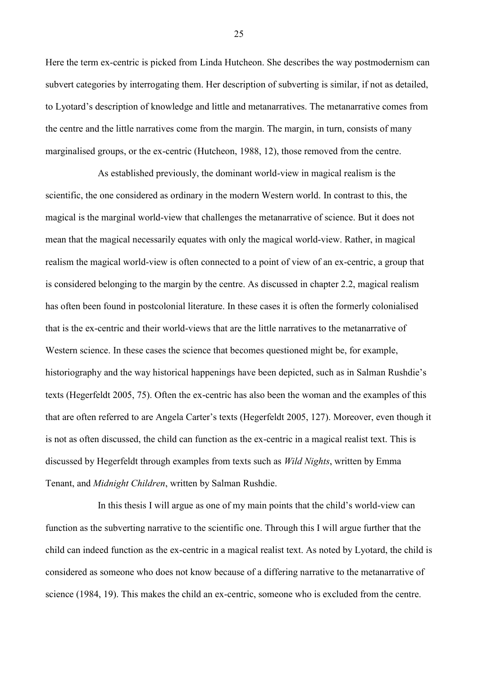Here the term ex-centric is picked from Linda Hutcheon. She describes the way postmodernism can subvert categories by interrogating them. Her description of subverting is similar, if not as detailed, to Lyotard's description of knowledge and little and metanarratives. The metanarrative comes from the centre and the little narratives come from the margin. The margin, in turn, consists of many marginalised groups, or the ex-centric (Hutcheon, 1988, 12), those removed from the centre.

As established previously, the dominant world-view in magical realism is the scientific, the one considered as ordinary in the modern Western world. In contrast to this, the magical is the marginal world-view that challenges the metanarrative of science. But it does not mean that the magical necessarily equates with only the magical world-view. Rather, in magical realism the magical world-view is often connected to a point of view of an ex-centric, a group that is considered belonging to the margin by the centre. As discussed in chapter 2.2, magical realism has often been found in postcolonial literature. In these cases it is often the formerly colonialised that is the ex-centric and their world-views that are the little narratives to the metanarrative of Western science. In these cases the science that becomes questioned might be, for example, historiography and the way historical happenings have been depicted, such as in Salman Rushdie's texts (Hegerfeldt 2005, 75). Often the ex-centric has also been the woman and the examples of this that are often referred to are Angela Carter's texts (Hegerfeldt 2005, 127). Moreover, even though it is not as often discussed, the child can function as the ex-centric in a magical realist text. This is discussed by Hegerfeldt through examples from texts such as *Wild Nights*, written by Emma Tenant, and *Midnight Children*, written by Salman Rushdie.

In this thesis I will argue as one of my main points that the child's world-view can function as the subverting narrative to the scientific one. Through this I will argue further that the child can indeed function as the ex-centric in a magical realist text. As noted by Lyotard, the child is considered as someone who does not know because of a differing narrative to the metanarrative of science (1984, 19). This makes the child an ex-centric, someone who is excluded from the centre.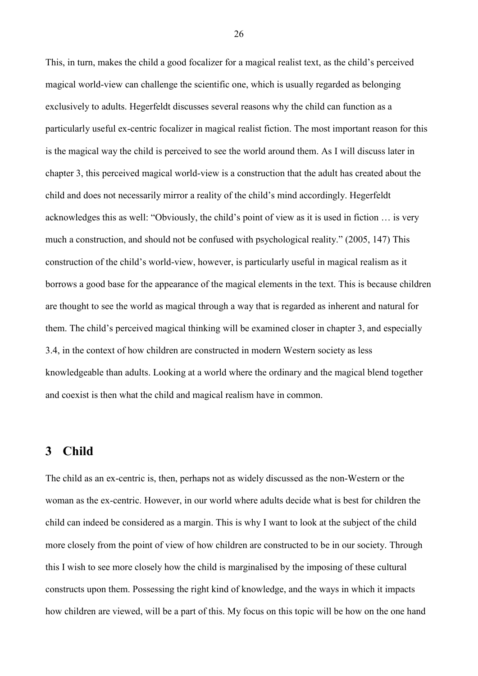This, in turn, makes the child a good focalizer for a magical realist text, as the child's perceived magical world-view can challenge the scientific one, which is usually regarded as belonging exclusively to adults. Hegerfeldt discusses several reasons why the child can function as a particularly useful ex-centric focalizer in magical realist fiction. The most important reason for this is the magical way the child is perceived to see the world around them. As I will discuss later in chapter 3, this perceived magical world-view is a construction that the adult has created about the child and does not necessarily mirror a reality of the child's mind accordingly. Hegerfeldt acknowledges this as well: "Obviously, the child's point of view as it is used in fiction … is very much a construction, and should not be confused with psychological reality." (2005, 147) This construction of the child's world-view, however, is particularly useful in magical realism as it borrows a good base for the appearance of the magical elements in the text. This is because children are thought to see the world as magical through a way that is regarded as inherent and natural for them. The child's perceived magical thinking will be examined closer in chapter 3, and especially 3.4, in the context of how children are constructed in modern Western society as less knowledgeable than adults. Looking at a world where the ordinary and the magical blend together and coexist is then what the child and magical realism have in common.

# <span id="page-25-0"></span>**3 Child**

The child as an ex-centric is, then, perhaps not as widely discussed as the non-Western or the woman as the ex-centric. However, in our world where adults decide what is best for children the child can indeed be considered as a margin. This is why I want to look at the subject of the child more closely from the point of view of how children are constructed to be in our society. Through this I wish to see more closely how the child is marginalised by the imposing of these cultural constructs upon them. Possessing the right kind of knowledge, and the ways in which it impacts how children are viewed, will be a part of this. My focus on this topic will be how on the one hand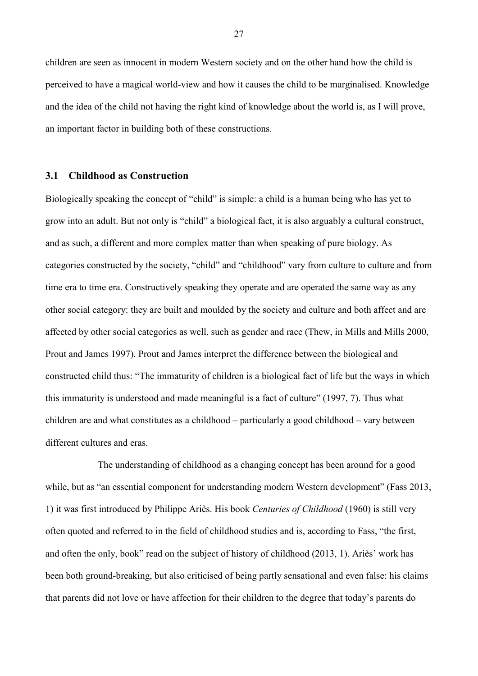children are seen as innocent in modern Western society and on the other hand how the child is perceived to have a magical world-view and how it causes the child to be marginalised. Knowledge and the idea of the child not having the right kind of knowledge about the world is, as I will prove, an important factor in building both of these constructions.

### <span id="page-26-0"></span>**3.1 Childhood as Construction**

Biologically speaking the concept of "child" is simple: a child is a human being who has yet to grow into an adult. But not only is "child" a biological fact, it is also arguably a cultural construct, and as such, a different and more complex matter than when speaking of pure biology. As categories constructed by the society, "child" and "childhood" vary from culture to culture and from time era to time era. Constructively speaking they operate and are operated the same way as any other social category: they are built and moulded by the society and culture and both affect and are affected by other social categories as well, such as gender and race (Thew, in Mills and Mills 2000, Prout and James 1997). Prout and James interpret the difference between the biological and constructed child thus: "The immaturity of children is a biological fact of life but the ways in which this immaturity is understood and made meaningful is a fact of culture" (1997, 7). Thus what children are and what constitutes as a childhood – particularly a good childhood – vary between different cultures and eras.

The understanding of childhood as a changing concept has been around for a good while, but as "an essential component for understanding modern Western development" (Fass 2013, 1) it was first introduced by Philippe Ariès. His book *Centuries of Childhood* (1960) is still very often quoted and referred to in the field of childhood studies and is, according to Fass, "the first, and often the only, book" read on the subject of history of childhood (2013, 1). Ariès' work has been both ground-breaking, but also criticised of being partly sensational and even false: his claims that parents did not love or have affection for their children to the degree that today's parents do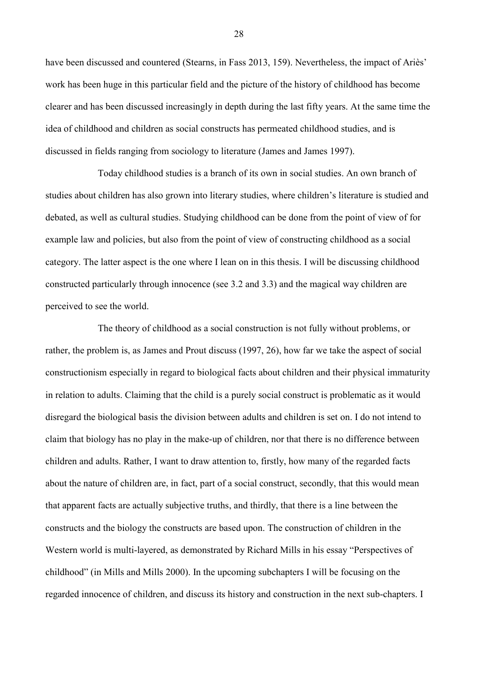have been discussed and countered (Stearns, in Fass 2013, 159). Nevertheless, the impact of Ariès' work has been huge in this particular field and the picture of the history of childhood has become clearer and has been discussed increasingly in depth during the last fifty years. At the same time the idea of childhood and children as social constructs has permeated childhood studies, and is discussed in fields ranging from sociology to literature (James and James 1997).

Today childhood studies is a branch of its own in social studies. An own branch of studies about children has also grown into literary studies, where children's literature is studied and debated, as well as cultural studies. Studying childhood can be done from the point of view of for example law and policies, but also from the point of view of constructing childhood as a social category. The latter aspect is the one where I lean on in this thesis. I will be discussing childhood constructed particularly through innocence (see 3.2 and 3.3) and the magical way children are perceived to see the world.

The theory of childhood as a social construction is not fully without problems, or rather, the problem is, as James and Prout discuss (1997, 26), how far we take the aspect of social constructionism especially in regard to biological facts about children and their physical immaturity in relation to adults. Claiming that the child is a purely social construct is problematic as it would disregard the biological basis the division between adults and children is set on. I do not intend to claim that biology has no play in the make-up of children, nor that there is no difference between children and adults. Rather, I want to draw attention to, firstly, how many of the regarded facts about the nature of children are, in fact, part of a social construct, secondly, that this would mean that apparent facts are actually subjective truths, and thirdly, that there is a line between the constructs and the biology the constructs are based upon. The construction of children in the Western world is multi-layered, as demonstrated by Richard Mills in his essay "Perspectives of childhood" (in Mills and Mills 2000). In the upcoming subchapters I will be focusing on the regarded innocence of children, and discuss its history and construction in the next sub-chapters. I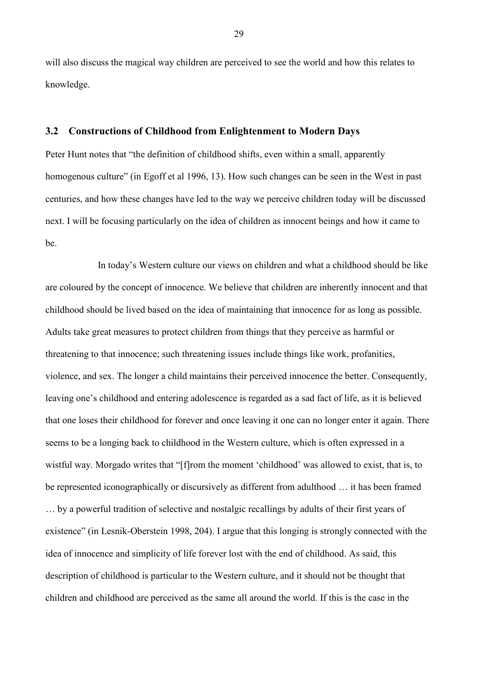will also discuss the magical way children are perceived to see the world and how this relates to knowledge.

### <span id="page-28-0"></span>**3.2 Constructions of Childhood from Enlightenment to Modern Days**

Peter Hunt notes that "the definition of childhood shifts, even within a small, apparently homogenous culture" (in Egoff et al 1996, 13). How such changes can be seen in the West in past centuries, and how these changes have led to the way we perceive children today will be discussed next. I will be focusing particularly on the idea of children as innocent beings and how it came to be.

In today's Western culture our views on children and what a childhood should be like are coloured by the concept of innocence. We believe that children are inherently innocent and that childhood should be lived based on the idea of maintaining that innocence for as long as possible. Adults take great measures to protect children from things that they perceive as harmful or threatening to that innocence; such threatening issues include things like work, profanities, violence, and sex. The longer a child maintains their perceived innocence the better. Consequently, leaving one's childhood and entering adolescence is regarded as a sad fact of life, as it is believed that one loses their childhood for forever and once leaving it one can no longer enter it again. There seems to be a longing back to childhood in the Western culture, which is often expressed in a wistful way. Morgado writes that "[f]rom the moment 'childhood' was allowed to exist, that is, to be represented iconographically or discursively as different from adulthood … it has been framed … by a powerful tradition of selective and nostalgic recallings by adults of their first years of existence" (in Lesnik-Oberstein 1998, 204). I argue that this longing is strongly connected with the idea of innocence and simplicity of life forever lost with the end of childhood. As said, this description of childhood is particular to the Western culture, and it should not be thought that children and childhood are perceived as the same all around the world. If this is the case in the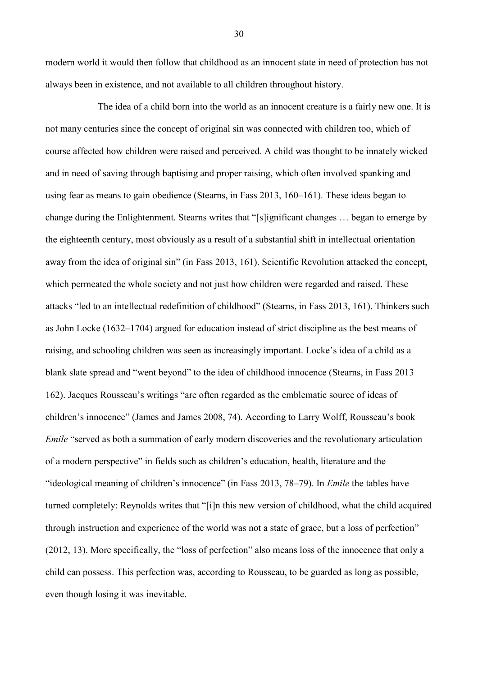modern world it would then follow that childhood as an innocent state in need of protection has not always been in existence, and not available to all children throughout history.

The idea of a child born into the world as an innocent creature is a fairly new one. It is not many centuries since the concept of original sin was connected with children too, which of course affected how children were raised and perceived. A child was thought to be innately wicked and in need of saving through baptising and proper raising, which often involved spanking and using fear as means to gain obedience (Stearns, in Fass 2013, 160–161). These ideas began to change during the Enlightenment. Stearns writes that "[s]ignificant changes … began to emerge by the eighteenth century, most obviously as a result of a substantial shift in intellectual orientation away from the idea of original sin" (in Fass 2013, 161). Scientific Revolution attacked the concept, which permeated the whole society and not just how children were regarded and raised. These attacks "led to an intellectual redefinition of childhood" (Stearns, in Fass 2013, 161). Thinkers such as John Locke (1632–1704) argued for education instead of strict discipline as the best means of raising, and schooling children was seen as increasingly important. Locke's idea of a child as a blank slate spread and "went beyond" to the idea of childhood innocence (Stearns, in Fass 2013 162). Jacques Rousseau's writings "are often regarded as the emblematic source of ideas of children's innocence" (James and James 2008, 74). According to Larry Wolff, Rousseau's book *Emile* "served as both a summation of early modern discoveries and the revolutionary articulation of a modern perspective" in fields such as children's education, health, literature and the "ideological meaning of children's innocence" (in Fass 2013, 78–79). In *Emile* the tables have turned completely: Reynolds writes that "[i]n this new version of childhood, what the child acquired through instruction and experience of the world was not a state of grace, but a loss of perfection" (2012, 13). More specifically, the "loss of perfection" also means loss of the innocence that only a child can possess. This perfection was, according to Rousseau, to be guarded as long as possible, even though losing it was inevitable.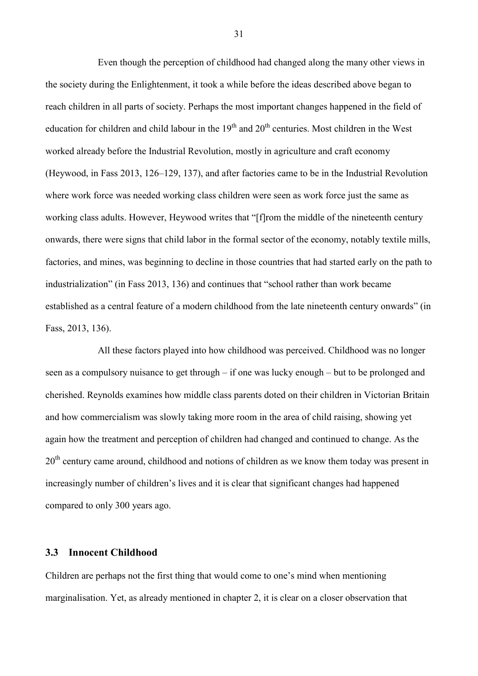Even though the perception of childhood had changed along the many other views in the society during the Enlightenment, it took a while before the ideas described above began to reach children in all parts of society. Perhaps the most important changes happened in the field of education for children and child labour in the  $19<sup>th</sup>$  and  $20<sup>th</sup>$  centuries. Most children in the West worked already before the Industrial Revolution, mostly in agriculture and craft economy (Heywood, in Fass 2013, 126–129, 137), and after factories came to be in the Industrial Revolution where work force was needed working class children were seen as work force just the same as working class adults. However, Heywood writes that "[f]rom the middle of the nineteenth century onwards, there were signs that child labor in the formal sector of the economy, notably textile mills, factories, and mines, was beginning to decline in those countries that had started early on the path to industrialization" (in Fass 2013, 136) and continues that "school rather than work became established as a central feature of a modern childhood from the late nineteenth century onwards" (in Fass, 2013, 136).

All these factors played into how childhood was perceived. Childhood was no longer seen as a compulsory nuisance to get through – if one was lucky enough – but to be prolonged and cherished. Reynolds examines how middle class parents doted on their children in Victorian Britain and how commercialism was slowly taking more room in the area of child raising, showing yet again how the treatment and perception of children had changed and continued to change. As the  $20<sup>th</sup>$  century came around, childhood and notions of children as we know them today was present in increasingly number of children's lives and it is clear that significant changes had happened compared to only 300 years ago.

# <span id="page-30-0"></span>**3.3 Innocent Childhood**

Children are perhaps not the first thing that would come to one's mind when mentioning marginalisation. Yet, as already mentioned in chapter 2, it is clear on a closer observation that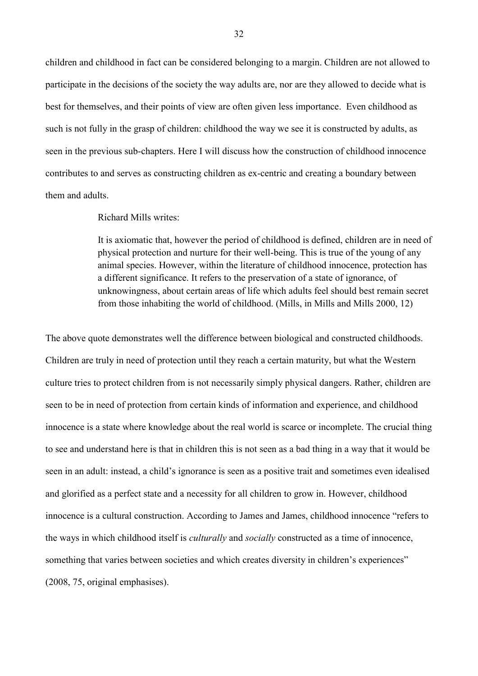children and childhood in fact can be considered belonging to a margin. Children are not allowed to participate in the decisions of the society the way adults are, nor are they allowed to decide what is best for themselves, and their points of view are often given less importance. Even childhood as such is not fully in the grasp of children: childhood the way we see it is constructed by adults, as seen in the previous sub-chapters. Here I will discuss how the construction of childhood innocence contributes to and serves as constructing children as ex-centric and creating a boundary between them and adults.

### Richard Mills writes:

It is axiomatic that, however the period of childhood is defined, children are in need of physical protection and nurture for their well-being. This is true of the young of any animal species. However, within the literature of childhood innocence, protection has a different significance. It refers to the preservation of a state of ignorance, of unknowingness, about certain areas of life which adults feel should best remain secret from those inhabiting the world of childhood. (Mills, in Mills and Mills 2000, 12)

The above quote demonstrates well the difference between biological and constructed childhoods. Children are truly in need of protection until they reach a certain maturity, but what the Western culture tries to protect children from is not necessarily simply physical dangers. Rather, children are seen to be in need of protection from certain kinds of information and experience, and childhood innocence is a state where knowledge about the real world is scarce or incomplete. The crucial thing to see and understand here is that in children this is not seen as a bad thing in a way that it would be seen in an adult: instead, a child's ignorance is seen as a positive trait and sometimes even idealised and glorified as a perfect state and a necessity for all children to grow in. However, childhood innocence is a cultural construction. According to James and James, childhood innocence "refers to the ways in which childhood itself is *culturally* and *socially* constructed as a time of innocence, something that varies between societies and which creates diversity in children's experiences" (2008, 75, original emphasises).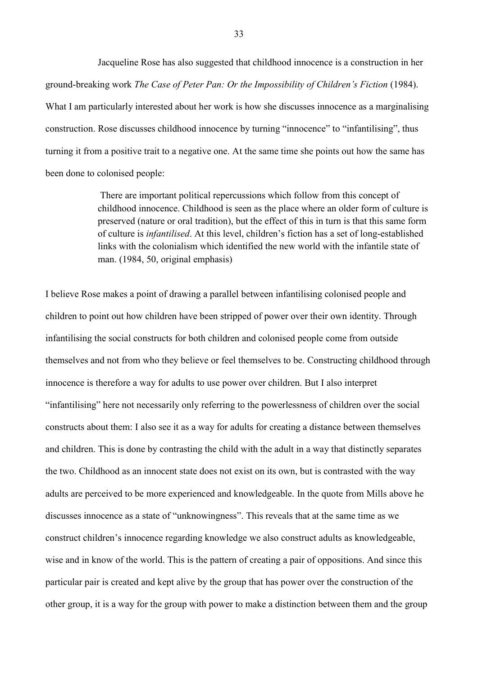Jacqueline Rose has also suggested that childhood innocence is a construction in her ground-breaking work *The Case of Peter Pan: Or the Impossibility of Children's Fiction* (1984). What I am particularly interested about her work is how she discusses innocence as a marginalising construction. Rose discusses childhood innocence by turning "innocence" to "infantilising", thus turning it from a positive trait to a negative one. At the same time she points out how the same has been done to colonised people:

> There are important political repercussions which follow from this concept of childhood innocence. Childhood is seen as the place where an older form of culture is preserved (nature or oral tradition), but the effect of this in turn is that this same form of culture is *infantilised*. At this level, children's fiction has a set of long-established links with the colonialism which identified the new world with the infantile state of man. (1984, 50, original emphasis)

I believe Rose makes a point of drawing a parallel between infantilising colonised people and children to point out how children have been stripped of power over their own identity. Through infantilising the social constructs for both children and colonised people come from outside themselves and not from who they believe or feel themselves to be. Constructing childhood through innocence is therefore a way for adults to use power over children. But I also interpret "infantilising" here not necessarily only referring to the powerlessness of children over the social constructs about them: I also see it as a way for adults for creating a distance between themselves and children. This is done by contrasting the child with the adult in a way that distinctly separates the two. Childhood as an innocent state does not exist on its own, but is contrasted with the way adults are perceived to be more experienced and knowledgeable. In the quote from Mills above he discusses innocence as a state of "unknowingness". This reveals that at the same time as we construct children's innocence regarding knowledge we also construct adults as knowledgeable, wise and in know of the world. This is the pattern of creating a pair of oppositions. And since this particular pair is created and kept alive by the group that has power over the construction of the other group, it is a way for the group with power to make a distinction between them and the group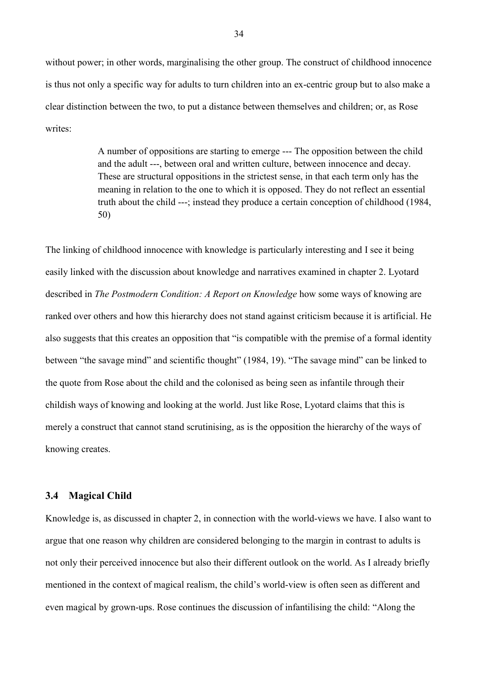without power; in other words, marginalising the other group. The construct of childhood innocence is thus not only a specific way for adults to turn children into an ex-centric group but to also make a clear distinction between the two, to put a distance between themselves and children; or, as Rose writes<sup>.</sup>

> A number of oppositions are starting to emerge --- The opposition between the child and the adult ---, between oral and written culture, between innocence and decay. These are structural oppositions in the strictest sense, in that each term only has the meaning in relation to the one to which it is opposed. They do not reflect an essential truth about the child ---; instead they produce a certain conception of childhood (1984, 50)

The linking of childhood innocence with knowledge is particularly interesting and I see it being easily linked with the discussion about knowledge and narratives examined in chapter 2. Lyotard described in *The Postmodern Condition: A Report on Knowledge* how some ways of knowing are ranked over others and how this hierarchy does not stand against criticism because it is artificial. He also suggests that this creates an opposition that "is compatible with the premise of a formal identity between "the savage mind" and scientific thought" (1984, 19). "The savage mind" can be linked to the quote from Rose about the child and the colonised as being seen as infantile through their childish ways of knowing and looking at the world. Just like Rose, Lyotard claims that this is merely a construct that cannot stand scrutinising, as is the opposition the hierarchy of the ways of knowing creates.

## <span id="page-33-0"></span>**3.4 Magical Child**

Knowledge is, as discussed in chapter 2, in connection with the world-views we have. I also want to argue that one reason why children are considered belonging to the margin in contrast to adults is not only their perceived innocence but also their different outlook on the world. As I already briefly mentioned in the context of magical realism, the child's world-view is often seen as different and even magical by grown-ups. Rose continues the discussion of infantilising the child: "Along the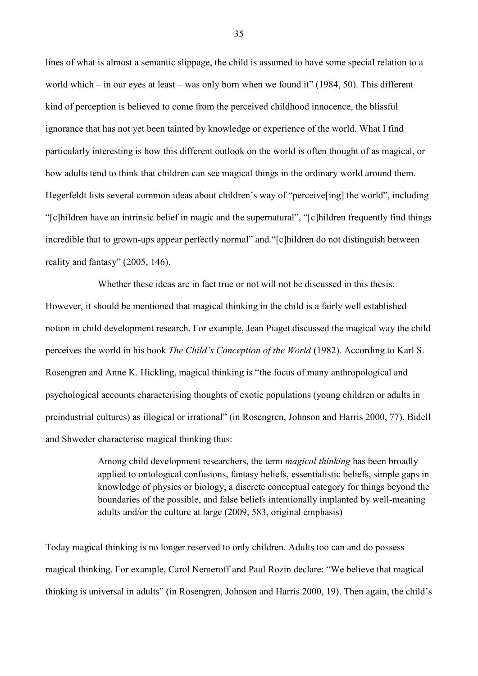lines of what is almost a semantic slippage, the child is assumed to have some special relation to a world which – in our eyes at least – was only born when we found it" (1984, 50). This different kind of perception is believed to come from the perceived childhood innocence, the blissful ignorance that has not yet been tainted by knowledge or experience of the world. What I find particularly interesting is how this different outlook on the world is often thought of as magical, or how adults tend to think that children can see magical things in the ordinary world around them. Hegerfeldt lists several common ideas about children's way of "perceive[ing] the world", including "[c]hildren have an intrinsic belief in magic and the supernatural", "[c]hildren frequently find things incredible that to grown-ups appear perfectly normal" and "[c]hildren do not distinguish between reality and fantasy" (2005, 146).

Whether these ideas are in fact true or not will not be discussed in this thesis. However, it should be mentioned that magical thinking in the child is a fairly well established notion in child development research. For example, Jean Piaget discussed the magical way the child perceives the world in his book *The Child's Conception of the World* (1982). According to Karl S. Rosengren and Anne K. Hickling, magical thinking is "the focus of many anthropological and psychological accounts characterising thoughts of exotic populations (young children or adults in preindustrial cultures) as illogical or irrational" (in Rosengren, Johnson and Harris 2000, 77). Bidell and Shweder characterise magical thinking thus:

> Among child development researchers, the term *magical thinking* has been broadly applied to ontological confusions, fantasy beliefs, essentialistic beliefs, simple gaps in knowledge of physics or biology, a discrete conceptual category for things beyond the boundaries of the possible, and false beliefs intentionally implanted by well-meaning adults and/or the culture at large (2009, 583, original emphasis)

Today magical thinking is no longer reserved to only children. Adults too can and do possess magical thinking. For example, Carol Nemeroff and Paul Rozin declare: "We believe that magical thinking is universal in adults" (in Rosengren, Johnson and Harris 2000, 19). Then again, the child's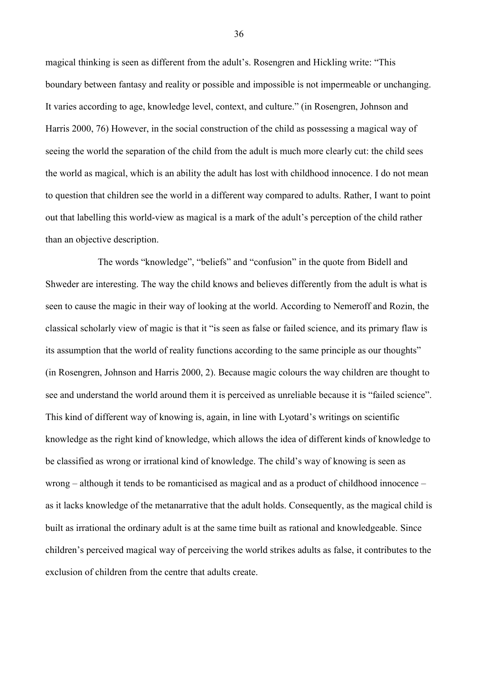magical thinking is seen as different from the adult's. Rosengren and Hickling write: "This boundary between fantasy and reality or possible and impossible is not impermeable or unchanging. It varies according to age, knowledge level, context, and culture." (in Rosengren, Johnson and Harris 2000, 76) However, in the social construction of the child as possessing a magical way of seeing the world the separation of the child from the adult is much more clearly cut: the child sees the world as magical, which is an ability the adult has lost with childhood innocence. I do not mean to question that children see the world in a different way compared to adults. Rather, I want to point out that labelling this world-view as magical is a mark of the adult's perception of the child rather than an objective description.

The words "knowledge", "beliefs" and "confusion" in the quote from Bidell and Shweder are interesting. The way the child knows and believes differently from the adult is what is seen to cause the magic in their way of looking at the world. According to Nemeroff and Rozin, the classical scholarly view of magic is that it "is seen as false or failed science, and its primary flaw is its assumption that the world of reality functions according to the same principle as our thoughts" (in Rosengren, Johnson and Harris 2000, 2). Because magic colours the way children are thought to see and understand the world around them it is perceived as unreliable because it is "failed science". This kind of different way of knowing is, again, in line with Lyotard's writings on scientific knowledge as the right kind of knowledge, which allows the idea of different kinds of knowledge to be classified as wrong or irrational kind of knowledge. The child's way of knowing is seen as wrong – although it tends to be romanticised as magical and as a product of childhood innocence – as it lacks knowledge of the metanarrative that the adult holds. Consequently, as the magical child is built as irrational the ordinary adult is at the same time built as rational and knowledgeable. Since children's perceived magical way of perceiving the world strikes adults as false, it contributes to the exclusion of children from the centre that adults create.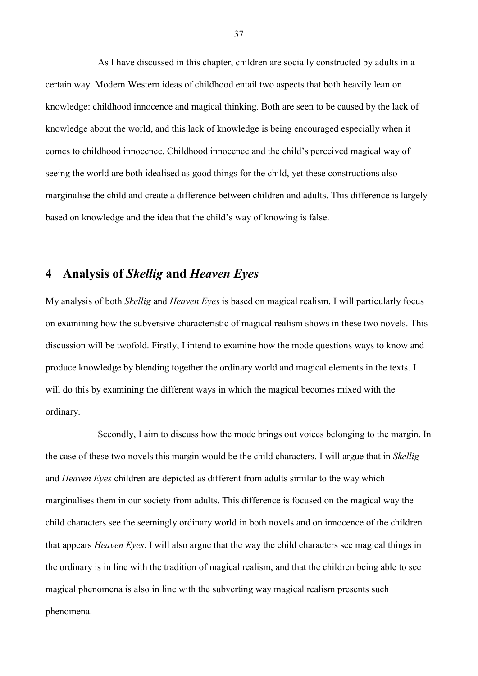As I have discussed in this chapter, children are socially constructed by adults in a certain way. Modern Western ideas of childhood entail two aspects that both heavily lean on knowledge: childhood innocence and magical thinking. Both are seen to be caused by the lack of knowledge about the world, and this lack of knowledge is being encouraged especially when it comes to childhood innocence. Childhood innocence and the child's perceived magical way of seeing the world are both idealised as good things for the child, yet these constructions also marginalise the child and create a difference between children and adults. This difference is largely based on knowledge and the idea that the child's way of knowing is false.

# **4 Analysis of** *Skellig* **and** *Heaven Eyes*

My analysis of both *Skellig* and *Heaven Eyes* is based on magical realism. I will particularly focus on examining how the subversive characteristic of magical realism shows in these two novels. This discussion will be twofold. Firstly, I intend to examine how the mode questions ways to know and produce knowledge by blending together the ordinary world and magical elements in the texts. I will do this by examining the different ways in which the magical becomes mixed with the ordinary.

Secondly, I aim to discuss how the mode brings out voices belonging to the margin. In the case of these two novels this margin would be the child characters. I will argue that in *Skellig* and *Heaven Eyes* children are depicted as different from adults similar to the way which marginalises them in our society from adults. This difference is focused on the magical way the child characters see the seemingly ordinary world in both novels and on innocence of the children that appears *Heaven Eyes*. I will also argue that the way the child characters see magical things in the ordinary is in line with the tradition of magical realism, and that the children being able to see magical phenomena is also in line with the subverting way magical realism presents such phenomena.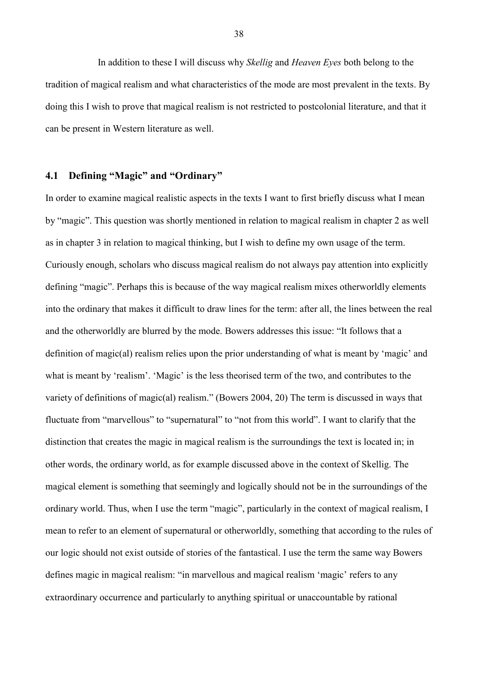In addition to these I will discuss why *Skellig* and *Heaven Eyes* both belong to the tradition of magical realism and what characteristics of the mode are most prevalent in the texts. By doing this I wish to prove that magical realism is not restricted to postcolonial literature, and that it can be present in Western literature as well.

## **4.1 Defining "Magic" and "Ordinary"**

In order to examine magical realistic aspects in the texts I want to first briefly discuss what I mean by "magic". This question was shortly mentioned in relation to magical realism in chapter 2 as well as in chapter 3 in relation to magical thinking, but I wish to define my own usage of the term. Curiously enough, scholars who discuss magical realism do not always pay attention into explicitly defining "magic". Perhaps this is because of the way magical realism mixes otherworldly elements into the ordinary that makes it difficult to draw lines for the term: after all, the lines between the real and the otherworldly are blurred by the mode. Bowers addresses this issue: "It follows that a definition of magic(al) realism relies upon the prior understanding of what is meant by 'magic' and what is meant by 'realism'. 'Magic' is the less theorised term of the two, and contributes to the variety of definitions of magic(al) realism." (Bowers 2004, 20) The term is discussed in ways that fluctuate from "marvellous" to "supernatural" to "not from this world". I want to clarify that the distinction that creates the magic in magical realism is the surroundings the text is located in; in other words, the ordinary world, as for example discussed above in the context of Skellig. The magical element is something that seemingly and logically should not be in the surroundings of the ordinary world. Thus, when I use the term "magic", particularly in the context of magical realism, I mean to refer to an element of supernatural or otherworldly, something that according to the rules of our logic should not exist outside of stories of the fantastical. I use the term the same way Bowers defines magic in magical realism: "in marvellous and magical realism 'magic' refers to any extraordinary occurrence and particularly to anything spiritual or unaccountable by rational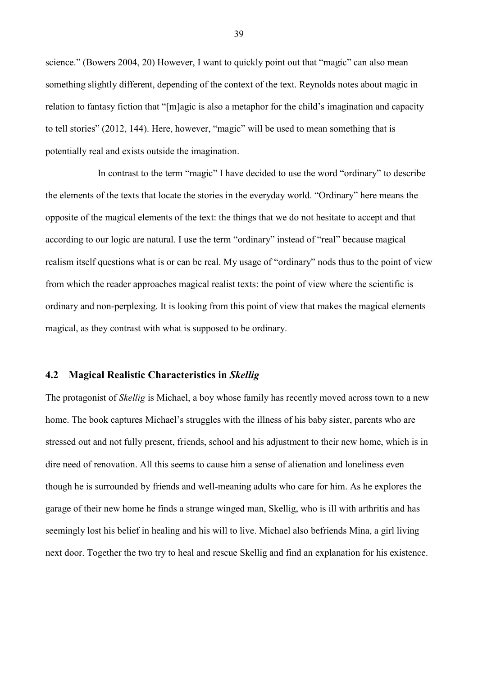science." (Bowers 2004, 20) However, I want to quickly point out that "magic" can also mean something slightly different, depending of the context of the text. Reynolds notes about magic in relation to fantasy fiction that "[m]agic is also a metaphor for the child's imagination and capacity to tell stories" (2012, 144). Here, however, "magic" will be used to mean something that is potentially real and exists outside the imagination.

In contrast to the term "magic" I have decided to use the word "ordinary" to describe the elements of the texts that locate the stories in the everyday world. "Ordinary" here means the opposite of the magical elements of the text: the things that we do not hesitate to accept and that according to our logic are natural. I use the term "ordinary" instead of "real" because magical realism itself questions what is or can be real. My usage of "ordinary" nods thus to the point of view from which the reader approaches magical realist texts: the point of view where the scientific is ordinary and non-perplexing. It is looking from this point of view that makes the magical elements magical, as they contrast with what is supposed to be ordinary.

## **4.2 Magical Realistic Characteristics in** *Skellig*

The protagonist of *Skellig* is Michael, a boy whose family has recently moved across town to a new home. The book captures Michael's struggles with the illness of his baby sister, parents who are stressed out and not fully present, friends, school and his adjustment to their new home, which is in dire need of renovation. All this seems to cause him a sense of alienation and loneliness even though he is surrounded by friends and well-meaning adults who care for him. As he explores the garage of their new home he finds a strange winged man, Skellig, who is ill with arthritis and has seemingly lost his belief in healing and his will to live. Michael also befriends Mina, a girl living next door. Together the two try to heal and rescue Skellig and find an explanation for his existence.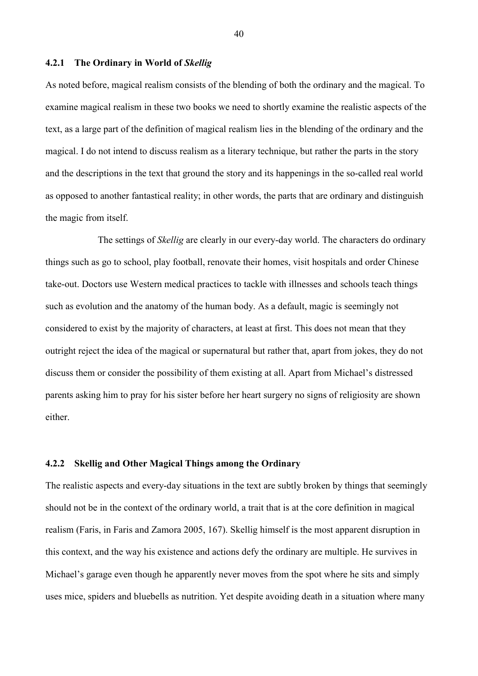#### **4.2.1 The Ordinary in World of** *Skellig*

As noted before, magical realism consists of the blending of both the ordinary and the magical. To examine magical realism in these two books we need to shortly examine the realistic aspects of the text, as a large part of the definition of magical realism lies in the blending of the ordinary and the magical. I do not intend to discuss realism as a literary technique, but rather the parts in the story and the descriptions in the text that ground the story and its happenings in the so-called real world as opposed to another fantastical reality; in other words, the parts that are ordinary and distinguish the magic from itself.

The settings of *Skellig* are clearly in our every-day world. The characters do ordinary things such as go to school, play football, renovate their homes, visit hospitals and order Chinese take-out. Doctors use Western medical practices to tackle with illnesses and schools teach things such as evolution and the anatomy of the human body. As a default, magic is seemingly not considered to exist by the majority of characters, at least at first. This does not mean that they outright reject the idea of the magical or supernatural but rather that, apart from jokes, they do not discuss them or consider the possibility of them existing at all. Apart from Michael's distressed parents asking him to pray for his sister before her heart surgery no signs of religiosity are shown either.

## **4.2.2 Skellig and Other Magical Things among the Ordinary**

The realistic aspects and every-day situations in the text are subtly broken by things that seemingly should not be in the context of the ordinary world, a trait that is at the core definition in magical realism (Faris, in Faris and Zamora 2005, 167). Skellig himself is the most apparent disruption in this context, and the way his existence and actions defy the ordinary are multiple. He survives in Michael's garage even though he apparently never moves from the spot where he sits and simply uses mice, spiders and bluebells as nutrition. Yet despite avoiding death in a situation where many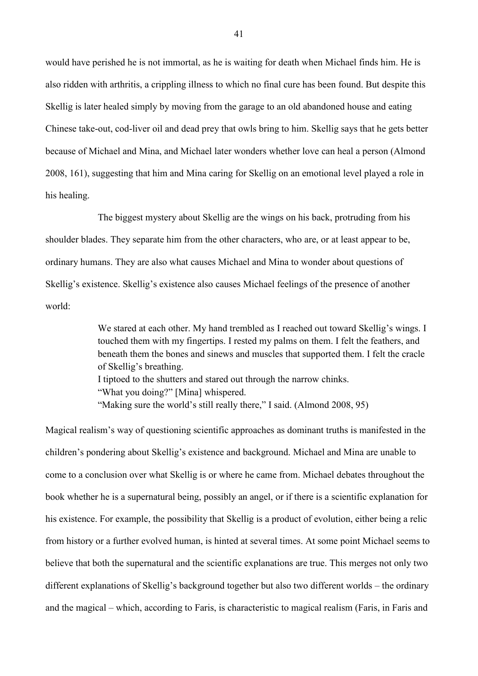would have perished he is not immortal, as he is waiting for death when Michael finds him. He is also ridden with arthritis, a crippling illness to which no final cure has been found. But despite this Skellig is later healed simply by moving from the garage to an old abandoned house and eating Chinese take-out, cod-liver oil and dead prey that owls bring to him. Skellig says that he gets better because of Michael and Mina, and Michael later wonders whether love can heal a person (Almond 2008, 161), suggesting that him and Mina caring for Skellig on an emotional level played a role in his healing.

The biggest mystery about Skellig are the wings on his back, protruding from his shoulder blades. They separate him from the other characters, who are, or at least appear to be, ordinary humans. They are also what causes Michael and Mina to wonder about questions of Skellig's existence. Skellig's existence also causes Michael feelings of the presence of another world:

> We stared at each other. My hand trembled as I reached out toward Skellig's wings. I touched them with my fingertips. I rested my palms on them. I felt the feathers, and beneath them the bones and sinews and muscles that supported them. I felt the cracle of Skellig's breathing. I tiptoed to the shutters and stared out through the narrow chinks. "What you doing?" [Mina] whispered. "Making sure the world's still really there," I said. (Almond 2008, 95)

Magical realism's way of questioning scientific approaches as dominant truths is manifested in the children's pondering about Skellig's existence and background. Michael and Mina are unable to come to a conclusion over what Skellig is or where he came from. Michael debates throughout the book whether he is a supernatural being, possibly an angel, or if there is a scientific explanation for his existence. For example, the possibility that Skellig is a product of evolution, either being a relic from history or a further evolved human, is hinted at several times. At some point Michael seems to believe that both the supernatural and the scientific explanations are true. This merges not only two different explanations of Skellig's background together but also two different worlds – the ordinary and the magical – which, according to Faris, is characteristic to magical realism (Faris, in Faris and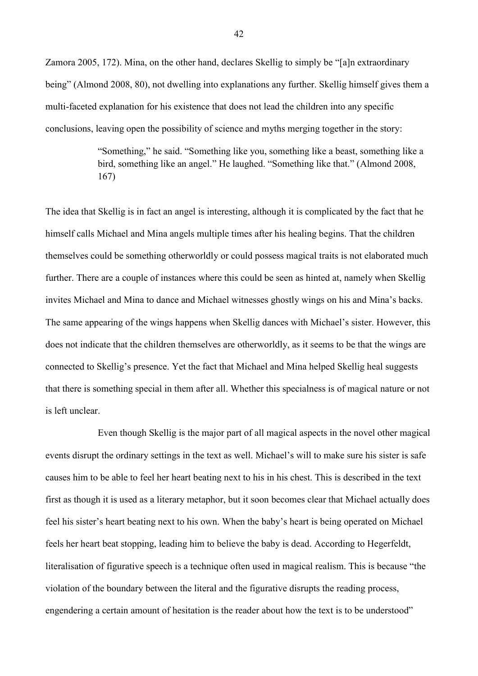Zamora 2005, 172). Mina, on the other hand, declares Skellig to simply be "[a]n extraordinary being" (Almond 2008, 80), not dwelling into explanations any further. Skellig himself gives them a multi-faceted explanation for his existence that does not lead the children into any specific conclusions, leaving open the possibility of science and myths merging together in the story:

> "Something," he said. "Something like you, something like a beast, something like a bird, something like an angel." He laughed. "Something like that." (Almond 2008, 167)

The idea that Skellig is in fact an angel is interesting, although it is complicated by the fact that he himself calls Michael and Mina angels multiple times after his healing begins. That the children themselves could be something otherworldly or could possess magical traits is not elaborated much further. There are a couple of instances where this could be seen as hinted at, namely when Skellig invites Michael and Mina to dance and Michael witnesses ghostly wings on his and Mina's backs. The same appearing of the wings happens when Skellig dances with Michael's sister. However, this does not indicate that the children themselves are otherworldly, as it seems to be that the wings are connected to Skellig's presence. Yet the fact that Michael and Mina helped Skellig heal suggests that there is something special in them after all. Whether this specialness is of magical nature or not is left unclear.

Even though Skellig is the major part of all magical aspects in the novel other magical events disrupt the ordinary settings in the text as well. Michael's will to make sure his sister is safe causes him to be able to feel her heart beating next to his in his chest. This is described in the text first as though it is used as a literary metaphor, but it soon becomes clear that Michael actually does feel his sister's heart beating next to his own. When the baby's heart is being operated on Michael feels her heart beat stopping, leading him to believe the baby is dead. According to Hegerfeldt, literalisation of figurative speech is a technique often used in magical realism. This is because "the violation of the boundary between the literal and the figurative disrupts the reading process, engendering a certain amount of hesitation is the reader about how the text is to be understood"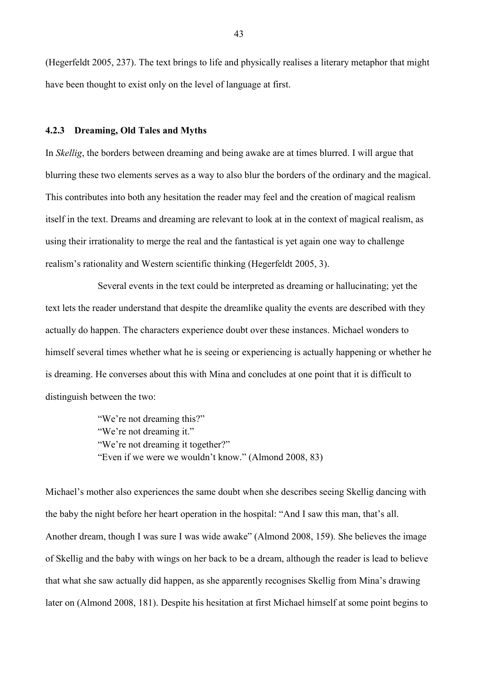(Hegerfeldt 2005, 237). The text brings to life and physically realises a literary metaphor that might have been thought to exist only on the level of language at first.

#### **4.2.3 Dreaming, Old Tales and Myths**

In *Skellig*, the borders between dreaming and being awake are at times blurred. I will argue that blurring these two elements serves as a way to also blur the borders of the ordinary and the magical. This contributes into both any hesitation the reader may feel and the creation of magical realism itself in the text. Dreams and dreaming are relevant to look at in the context of magical realism, as using their irrationality to merge the real and the fantastical is yet again one way to challenge realism's rationality and Western scientific thinking (Hegerfeldt 2005, 3).

Several events in the text could be interpreted as dreaming or hallucinating; yet the text lets the reader understand that despite the dreamlike quality the events are described with they actually do happen. The characters experience doubt over these instances. Michael wonders to himself several times whether what he is seeing or experiencing is actually happening or whether he is dreaming. He converses about this with Mina and concludes at one point that it is difficult to distinguish between the two:

> "We're not dreaming this?" "We're not dreaming it." "We're not dreaming it together?" "Even if we were we wouldn't know." (Almond 2008, 83)

Michael's mother also experiences the same doubt when she describes seeing Skellig dancing with the baby the night before her heart operation in the hospital: "And I saw this man, that's all. Another dream, though I was sure I was wide awake" (Almond 2008, 159). She believes the image of Skellig and the baby with wings on her back to be a dream, although the reader is lead to believe that what she saw actually did happen, as she apparently recognises Skellig from Mina's drawing later on (Almond 2008, 181). Despite his hesitation at first Michael himself at some point begins to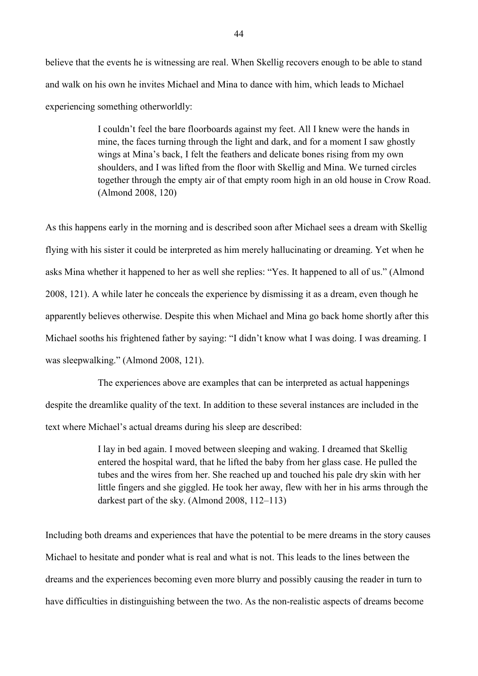believe that the events he is witnessing are real. When Skellig recovers enough to be able to stand and walk on his own he invites Michael and Mina to dance with him, which leads to Michael experiencing something otherworldly:

> I couldn't feel the bare floorboards against my feet. All I knew were the hands in mine, the faces turning through the light and dark, and for a moment I saw ghostly wings at Mina's back, I felt the feathers and delicate bones rising from my own shoulders, and I was lifted from the floor with Skellig and Mina. We turned circles together through the empty air of that empty room high in an old house in Crow Road. (Almond 2008, 120)

As this happens early in the morning and is described soon after Michael sees a dream with Skellig flying with his sister it could be interpreted as him merely hallucinating or dreaming. Yet when he asks Mina whether it happened to her as well she replies: "Yes. It happened to all of us." (Almond 2008, 121). A while later he conceals the experience by dismissing it as a dream, even though he apparently believes otherwise. Despite this when Michael and Mina go back home shortly after this Michael sooths his frightened father by saying: "I didn't know what I was doing. I was dreaming. I was sleepwalking." (Almond 2008, 121).

The experiences above are examples that can be interpreted as actual happenings despite the dreamlike quality of the text. In addition to these several instances are included in the text where Michael's actual dreams during his sleep are described:

> I lay in bed again. I moved between sleeping and waking. I dreamed that Skellig entered the hospital ward, that he lifted the baby from her glass case. He pulled the tubes and the wires from her. She reached up and touched his pale dry skin with her little fingers and she giggled. He took her away, flew with her in his arms through the darkest part of the sky. (Almond 2008, 112–113)

Including both dreams and experiences that have the potential to be mere dreams in the story causes Michael to hesitate and ponder what is real and what is not. This leads to the lines between the dreams and the experiences becoming even more blurry and possibly causing the reader in turn to have difficulties in distinguishing between the two. As the non-realistic aspects of dreams become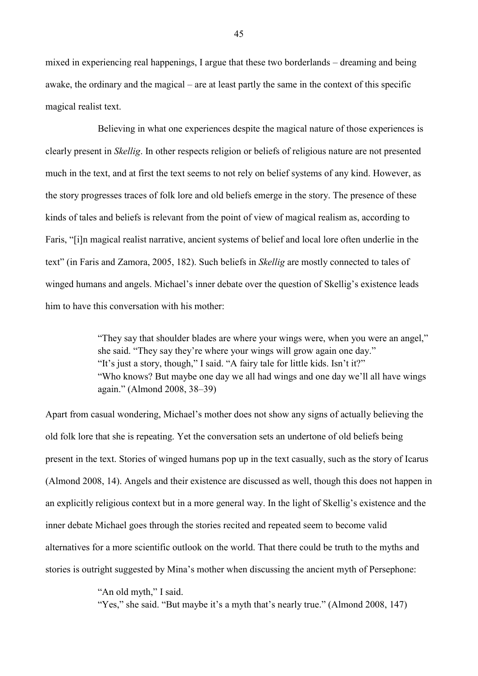mixed in experiencing real happenings, I argue that these two borderlands – dreaming and being awake, the ordinary and the magical – are at least partly the same in the context of this specific magical realist text.

Believing in what one experiences despite the magical nature of those experiences is clearly present in *Skellig*. In other respects religion or beliefs of religious nature are not presented much in the text, and at first the text seems to not rely on belief systems of any kind. However, as the story progresses traces of folk lore and old beliefs emerge in the story. The presence of these kinds of tales and beliefs is relevant from the point of view of magical realism as, according to Faris, "[i]n magical realist narrative, ancient systems of belief and local lore often underlie in the text" (in Faris and Zamora, 2005, 182). Such beliefs in *Skellig* are mostly connected to tales of winged humans and angels. Michael's inner debate over the question of Skellig's existence leads him to have this conversation with his mother:

> "They say that shoulder blades are where your wings were, when you were an angel," she said. "They say they're where your wings will grow again one day." "It's just a story, though," I said. "A fairy tale for little kids. Isn't it?" "Who knows? But maybe one day we all had wings and one day we'll all have wings again." (Almond 2008, 38–39)

Apart from casual wondering, Michael's mother does not show any signs of actually believing the old folk lore that she is repeating. Yet the conversation sets an undertone of old beliefs being present in the text. Stories of winged humans pop up in the text casually, such as the story of Icarus (Almond 2008, 14). Angels and their existence are discussed as well, though this does not happen in an explicitly religious context but in a more general way. In the light of Skellig's existence and the inner debate Michael goes through the stories recited and repeated seem to become valid alternatives for a more scientific outlook on the world. That there could be truth to the myths and stories is outright suggested by Mina's mother when discussing the ancient myth of Persephone:

"An old myth," I said.

"Yes," she said. "But maybe it's a myth that's nearly true." (Almond 2008, 147)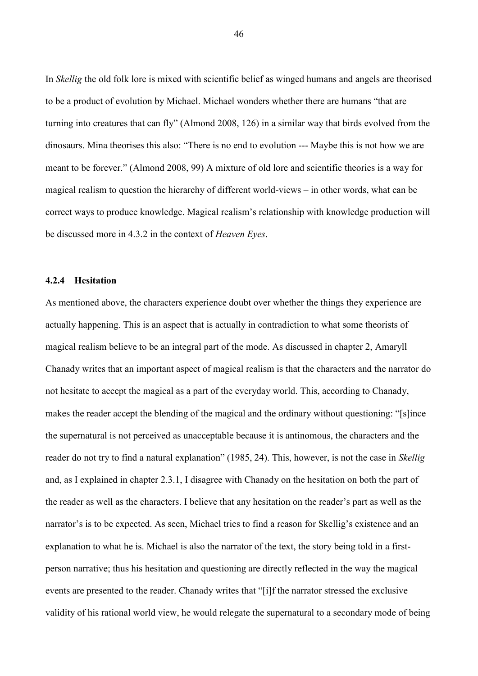In *Skellig* the old folk lore is mixed with scientific belief as winged humans and angels are theorised to be a product of evolution by Michael. Michael wonders whether there are humans "that are turning into creatures that can fly" (Almond 2008, 126) in a similar way that birds evolved from the dinosaurs. Mina theorises this also: "There is no end to evolution --- Maybe this is not how we are meant to be forever." (Almond 2008, 99) A mixture of old lore and scientific theories is a way for magical realism to question the hierarchy of different world-views – in other words, what can be correct ways to produce knowledge. Magical realism's relationship with knowledge production will be discussed more in 4.3.2 in the context of *Heaven Eyes*.

#### **4.2.4 Hesitation**

As mentioned above, the characters experience doubt over whether the things they experience are actually happening. This is an aspect that is actually in contradiction to what some theorists of magical realism believe to be an integral part of the mode. As discussed in chapter 2, Amaryll Chanady writes that an important aspect of magical realism is that the characters and the narrator do not hesitate to accept the magical as a part of the everyday world. This, according to Chanady, makes the reader accept the blending of the magical and the ordinary without questioning: "[s]ince the supernatural is not perceived as unacceptable because it is antinomous, the characters and the reader do not try to find a natural explanation" (1985, 24). This, however, is not the case in *Skellig* and, as I explained in chapter 2.3.1, I disagree with Chanady on the hesitation on both the part of the reader as well as the characters. I believe that any hesitation on the reader's part as well as the narrator's is to be expected. As seen, Michael tries to find a reason for Skellig's existence and an explanation to what he is. Michael is also the narrator of the text, the story being told in a firstperson narrative; thus his hesitation and questioning are directly reflected in the way the magical events are presented to the reader. Chanady writes that "[i]f the narrator stressed the exclusive validity of his rational world view, he would relegate the supernatural to a secondary mode of being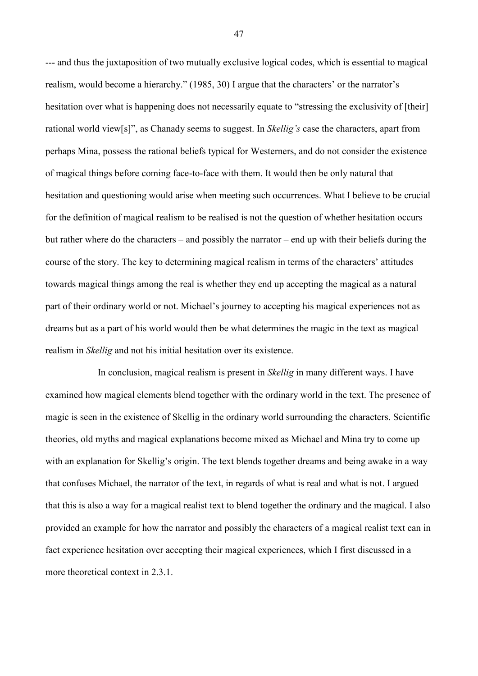--- and thus the juxtaposition of two mutually exclusive logical codes, which is essential to magical realism, would become a hierarchy." (1985, 30) I argue that the characters' or the narrator's hesitation over what is happening does not necessarily equate to "stressing the exclusivity of [their] rational world view[s]", as Chanady seems to suggest. In *Skellig's* case the characters, apart from perhaps Mina, possess the rational beliefs typical for Westerners, and do not consider the existence of magical things before coming face-to-face with them. It would then be only natural that hesitation and questioning would arise when meeting such occurrences. What I believe to be crucial for the definition of magical realism to be realised is not the question of whether hesitation occurs but rather where do the characters – and possibly the narrator – end up with their beliefs during the course of the story. The key to determining magical realism in terms of the characters' attitudes towards magical things among the real is whether they end up accepting the magical as a natural part of their ordinary world or not. Michael's journey to accepting his magical experiences not as dreams but as a part of his world would then be what determines the magic in the text as magical realism in *Skellig* and not his initial hesitation over its existence.

In conclusion, magical realism is present in *Skellig* in many different ways. I have examined how magical elements blend together with the ordinary world in the text. The presence of magic is seen in the existence of Skellig in the ordinary world surrounding the characters. Scientific theories, old myths and magical explanations become mixed as Michael and Mina try to come up with an explanation for Skellig's origin. The text blends together dreams and being awake in a way that confuses Michael, the narrator of the text, in regards of what is real and what is not. I argued that this is also a way for a magical realist text to blend together the ordinary and the magical. I also provided an example for how the narrator and possibly the characters of a magical realist text can in fact experience hesitation over accepting their magical experiences, which I first discussed in a more theoretical context in 2.3.1.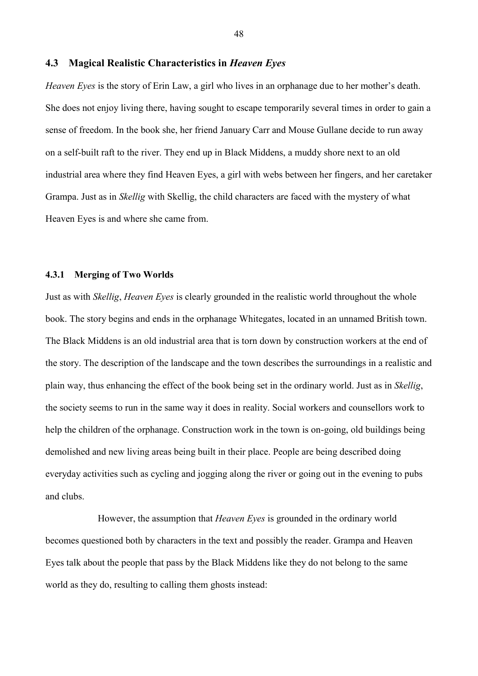#### **4.3 Magical Realistic Characteristics in** *Heaven Eyes*

*Heaven Eyes* is the story of Erin Law, a girl who lives in an orphanage due to her mother's death. She does not enjoy living there, having sought to escape temporarily several times in order to gain a sense of freedom. In the book she, her friend January Carr and Mouse Gullane decide to run away on a self-built raft to the river. They end up in Black Middens, a muddy shore next to an old industrial area where they find Heaven Eyes, a girl with webs between her fingers, and her caretaker Grampa. Just as in *Skellig* with Skellig, the child characters are faced with the mystery of what Heaven Eyes is and where she came from.

#### **4.3.1 Merging of Two Worlds**

Just as with *Skellig*, *Heaven Eyes* is clearly grounded in the realistic world throughout the whole book. The story begins and ends in the orphanage Whitegates, located in an unnamed British town. The Black Middens is an old industrial area that is torn down by construction workers at the end of the story. The description of the landscape and the town describes the surroundings in a realistic and plain way, thus enhancing the effect of the book being set in the ordinary world. Just as in *Skellig*, the society seems to run in the same way it does in reality. Social workers and counsellors work to help the children of the orphanage. Construction work in the town is on-going, old buildings being demolished and new living areas being built in their place. People are being described doing everyday activities such as cycling and jogging along the river or going out in the evening to pubs and clubs.

However, the assumption that *Heaven Eyes* is grounded in the ordinary world becomes questioned both by characters in the text and possibly the reader. Grampa and Heaven Eyes talk about the people that pass by the Black Middens like they do not belong to the same world as they do, resulting to calling them ghosts instead: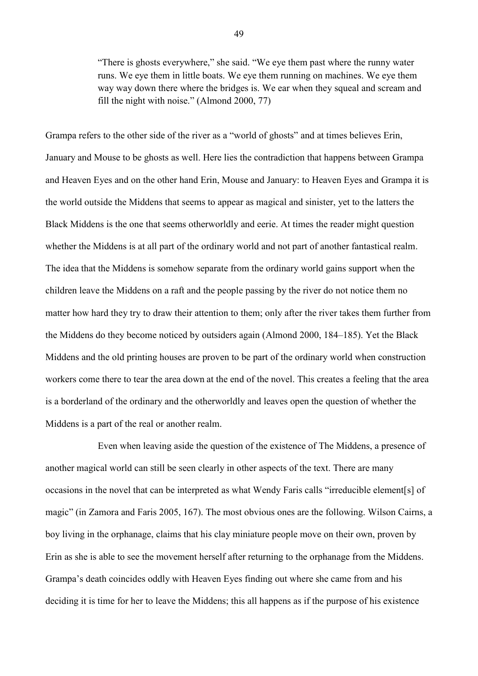"There is ghosts everywhere," she said. "We eye them past where the runny water runs. We eye them in little boats. We eye them running on machines. We eye them way way down there where the bridges is. We ear when they squeal and scream and fill the night with noise." (Almond 2000, 77)

Grampa refers to the other side of the river as a "world of ghosts" and at times believes Erin, January and Mouse to be ghosts as well. Here lies the contradiction that happens between Grampa and Heaven Eyes and on the other hand Erin, Mouse and January: to Heaven Eyes and Grampa it is the world outside the Middens that seems to appear as magical and sinister, yet to the latters the Black Middens is the one that seems otherworldly and eerie. At times the reader might question whether the Middens is at all part of the ordinary world and not part of another fantastical realm. The idea that the Middens is somehow separate from the ordinary world gains support when the children leave the Middens on a raft and the people passing by the river do not notice them no matter how hard they try to draw their attention to them; only after the river takes them further from the Middens do they become noticed by outsiders again (Almond 2000, 184–185). Yet the Black Middens and the old printing houses are proven to be part of the ordinary world when construction workers come there to tear the area down at the end of the novel. This creates a feeling that the area is a borderland of the ordinary and the otherworldly and leaves open the question of whether the Middens is a part of the real or another realm.

Even when leaving aside the question of the existence of The Middens, a presence of another magical world can still be seen clearly in other aspects of the text. There are many occasions in the novel that can be interpreted as what Wendy Faris calls "irreducible element[s] of magic" (in Zamora and Faris 2005, 167). The most obvious ones are the following. Wilson Cairns, a boy living in the orphanage, claims that his clay miniature people move on their own, proven by Erin as she is able to see the movement herself after returning to the orphanage from the Middens. Grampa's death coincides oddly with Heaven Eyes finding out where she came from and his deciding it is time for her to leave the Middens; this all happens as if the purpose of his existence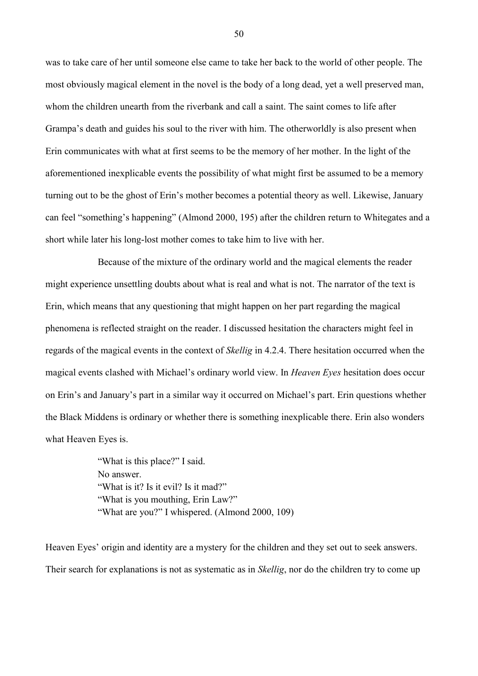was to take care of her until someone else came to take her back to the world of other people. The most obviously magical element in the novel is the body of a long dead, yet a well preserved man, whom the children unearth from the riverbank and call a saint. The saint comes to life after Grampa's death and guides his soul to the river with him. The otherworldly is also present when Erin communicates with what at first seems to be the memory of her mother. In the light of the aforementioned inexplicable events the possibility of what might first be assumed to be a memory turning out to be the ghost of Erin's mother becomes a potential theory as well. Likewise, January can feel "something's happening" (Almond 2000, 195) after the children return to Whitegates and a short while later his long-lost mother comes to take him to live with her.

Because of the mixture of the ordinary world and the magical elements the reader might experience unsettling doubts about what is real and what is not. The narrator of the text is Erin, which means that any questioning that might happen on her part regarding the magical phenomena is reflected straight on the reader. I discussed hesitation the characters might feel in regards of the magical events in the context of *Skellig* in 4.2.4. There hesitation occurred when the magical events clashed with Michael's ordinary world view. In *Heaven Eyes* hesitation does occur on Erin's and January's part in a similar way it occurred on Michael's part. Erin questions whether the Black Middens is ordinary or whether there is something inexplicable there. Erin also wonders what Heaven Eyes is.

> "What is this place?" I said. No answer. "What is it? Is it evil? Is it mad?" "What is you mouthing, Erin Law?" "What are you?" I whispered. (Almond 2000, 109)

Heaven Eyes' origin and identity are a mystery for the children and they set out to seek answers. Their search for explanations is not as systematic as in *Skellig*, nor do the children try to come up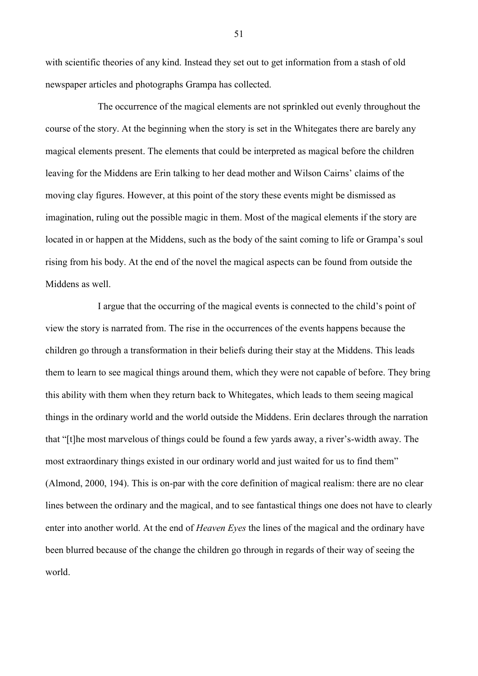with scientific theories of any kind. Instead they set out to get information from a stash of old newspaper articles and photographs Grampa has collected.

The occurrence of the magical elements are not sprinkled out evenly throughout the course of the story. At the beginning when the story is set in the Whitegates there are barely any magical elements present. The elements that could be interpreted as magical before the children leaving for the Middens are Erin talking to her dead mother and Wilson Cairns' claims of the moving clay figures. However, at this point of the story these events might be dismissed as imagination, ruling out the possible magic in them. Most of the magical elements if the story are located in or happen at the Middens, such as the body of the saint coming to life or Grampa's soul rising from his body. At the end of the novel the magical aspects can be found from outside the Middens as well.

I argue that the occurring of the magical events is connected to the child's point of view the story is narrated from. The rise in the occurrences of the events happens because the children go through a transformation in their beliefs during their stay at the Middens. This leads them to learn to see magical things around them, which they were not capable of before. They bring this ability with them when they return back to Whitegates, which leads to them seeing magical things in the ordinary world and the world outside the Middens. Erin declares through the narration that "[t]he most marvelous of things could be found a few yards away, a river's-width away. The most extraordinary things existed in our ordinary world and just waited for us to find them" (Almond, 2000, 194). This is on-par with the core definition of magical realism: there are no clear lines between the ordinary and the magical, and to see fantastical things one does not have to clearly enter into another world. At the end of *Heaven Eyes* the lines of the magical and the ordinary have been blurred because of the change the children go through in regards of their way of seeing the world.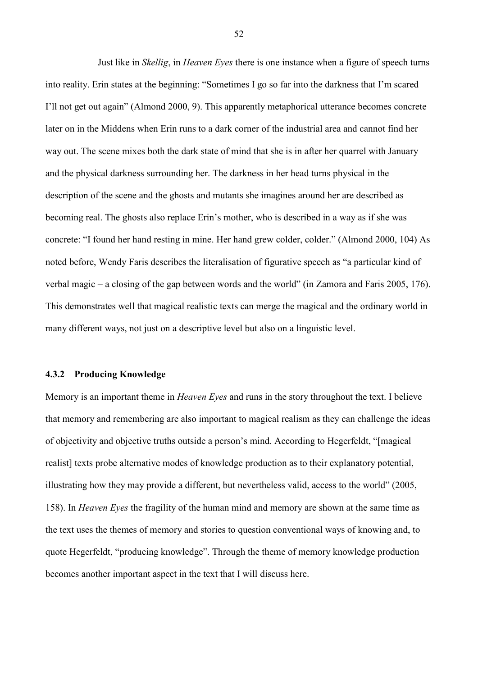Just like in *Skellig*, in *Heaven Eyes* there is one instance when a figure of speech turns into reality. Erin states at the beginning: "Sometimes I go so far into the darkness that I'm scared I'll not get out again" (Almond 2000, 9). This apparently metaphorical utterance becomes concrete later on in the Middens when Erin runs to a dark corner of the industrial area and cannot find her way out. The scene mixes both the dark state of mind that she is in after her quarrel with January and the physical darkness surrounding her. The darkness in her head turns physical in the description of the scene and the ghosts and mutants she imagines around her are described as becoming real. The ghosts also replace Erin's mother, who is described in a way as if she was concrete: "I found her hand resting in mine. Her hand grew colder, colder." (Almond 2000, 104) As noted before, Wendy Faris describes the literalisation of figurative speech as "a particular kind of verbal magic – a closing of the gap between words and the world" (in Zamora and Faris 2005, 176). This demonstrates well that magical realistic texts can merge the magical and the ordinary world in many different ways, not just on a descriptive level but also on a linguistic level.

#### **4.3.2 Producing Knowledge**

Memory is an important theme in *Heaven Eyes* and runs in the story throughout the text. I believe that memory and remembering are also important to magical realism as they can challenge the ideas of objectivity and objective truths outside a person's mind. According to Hegerfeldt, "[magical realist] texts probe alternative modes of knowledge production as to their explanatory potential, illustrating how they may provide a different, but nevertheless valid, access to the world" (2005, 158). In *Heaven Eyes* the fragility of the human mind and memory are shown at the same time as the text uses the themes of memory and stories to question conventional ways of knowing and, to quote Hegerfeldt, "producing knowledge". Through the theme of memory knowledge production becomes another important aspect in the text that I will discuss here.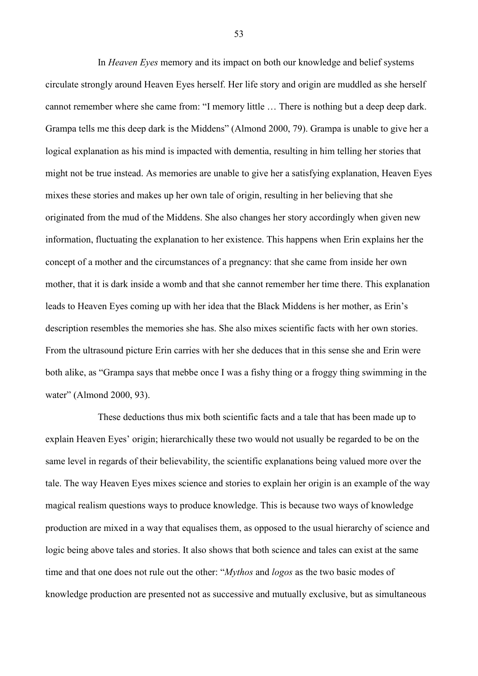In *Heaven Eyes* memory and its impact on both our knowledge and belief systems circulate strongly around Heaven Eyes herself. Her life story and origin are muddled as she herself cannot remember where she came from: "I memory little … There is nothing but a deep deep dark. Grampa tells me this deep dark is the Middens" (Almond 2000, 79). Grampa is unable to give her a logical explanation as his mind is impacted with dementia, resulting in him telling her stories that might not be true instead. As memories are unable to give her a satisfying explanation, Heaven Eyes mixes these stories and makes up her own tale of origin, resulting in her believing that she originated from the mud of the Middens. She also changes her story accordingly when given new information, fluctuating the explanation to her existence. This happens when Erin explains her the concept of a mother and the circumstances of a pregnancy: that she came from inside her own mother, that it is dark inside a womb and that she cannot remember her time there. This explanation leads to Heaven Eyes coming up with her idea that the Black Middens is her mother, as Erin's description resembles the memories she has. She also mixes scientific facts with her own stories. From the ultrasound picture Erin carries with her she deduces that in this sense she and Erin were both alike, as "Grampa says that mebbe once I was a fishy thing or a froggy thing swimming in the water" (Almond 2000, 93).

These deductions thus mix both scientific facts and a tale that has been made up to explain Heaven Eyes' origin; hierarchically these two would not usually be regarded to be on the same level in regards of their believability, the scientific explanations being valued more over the tale. The way Heaven Eyes mixes science and stories to explain her origin is an example of the way magical realism questions ways to produce knowledge. This is because two ways of knowledge production are mixed in a way that equalises them, as opposed to the usual hierarchy of science and logic being above tales and stories. It also shows that both science and tales can exist at the same time and that one does not rule out the other: "*Mythos* and *logos* as the two basic modes of knowledge production are presented not as successive and mutually exclusive, but as simultaneous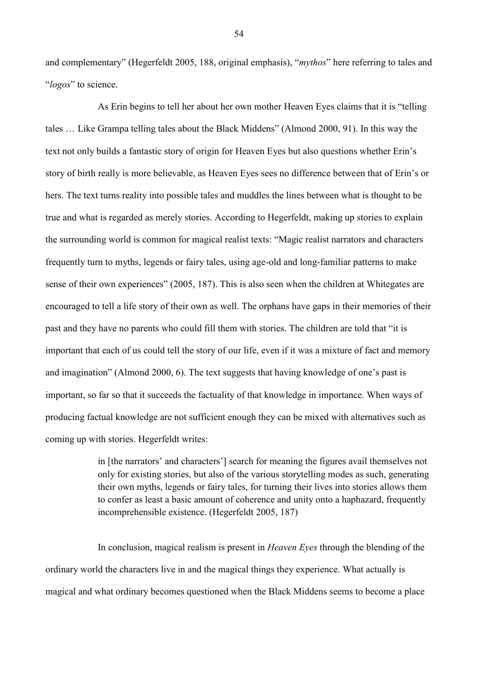and complementary" (Hegerfeldt 2005, 188, original emphasis), "*mythos*" here referring to tales and "*logos*" to science.

As Erin begins to tell her about her own mother Heaven Eyes claims that it is "telling tales … Like Grampa telling tales about the Black Middens" (Almond 2000, 91). In this way the text not only builds a fantastic story of origin for Heaven Eyes but also questions whether Erin's story of birth really is more believable, as Heaven Eyes sees no difference between that of Erin's or hers. The text turns reality into possible tales and muddles the lines between what is thought to be true and what is regarded as merely stories. According to Hegerfeldt, making up stories to explain the surrounding world is common for magical realist texts: "Magic realist narrators and characters frequently turn to myths, legends or fairy tales, using age-old and long-familiar patterns to make sense of their own experiences" (2005, 187). This is also seen when the children at Whitegates are encouraged to tell a life story of their own as well. The orphans have gaps in their memories of their past and they have no parents who could fill them with stories. The children are told that "it is important that each of us could tell the story of our life, even if it was a mixture of fact and memory and imagination" (Almond 2000, 6). The text suggests that having knowledge of one's past is important, so far so that it succeeds the factuality of that knowledge in importance. When ways of producing factual knowledge are not sufficient enough they can be mixed with alternatives such as coming up with stories. Hegerfeldt writes:

> in [the narrators' and characters'] search for meaning the figures avail themselves not only for existing stories, but also of the various storytelling modes as such, generating their own myths, legends or fairy tales, for turning their lives into stories allows them to confer as least a basic amount of coherence and unity onto a haphazard, frequently incomprehensible existence. (Hegerfeldt 2005, 187)

In conclusion, magical realism is present in *Heaven Eyes* through the blending of the ordinary world the characters live in and the magical things they experience. What actually is magical and what ordinary becomes questioned when the Black Middens seems to become a place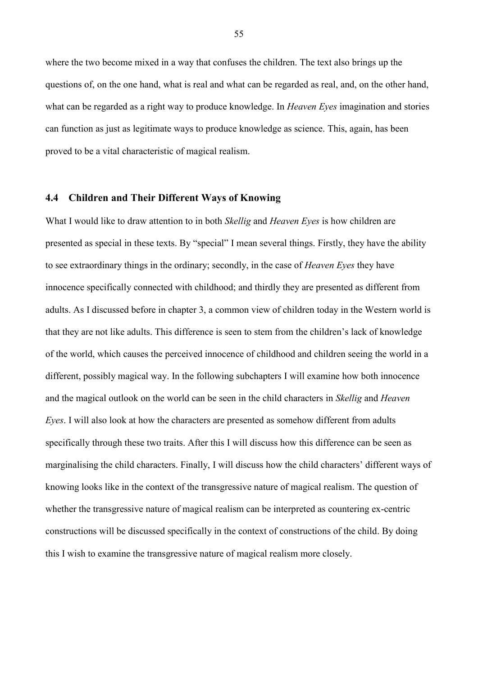where the two become mixed in a way that confuses the children. The text also brings up the questions of, on the one hand, what is real and what can be regarded as real, and, on the other hand, what can be regarded as a right way to produce knowledge. In *Heaven Eyes* imagination and stories can function as just as legitimate ways to produce knowledge as science. This, again, has been proved to be a vital characteristic of magical realism.

#### **4.4 Children and Their Different Ways of Knowing**

What I would like to draw attention to in both *Skellig* and *Heaven Eyes* is how children are presented as special in these texts. By "special" I mean several things. Firstly, they have the ability to see extraordinary things in the ordinary; secondly, in the case of *Heaven Eyes* they have innocence specifically connected with childhood; and thirdly they are presented as different from adults. As I discussed before in chapter 3, a common view of children today in the Western world is that they are not like adults. This difference is seen to stem from the children's lack of knowledge of the world, which causes the perceived innocence of childhood and children seeing the world in a different, possibly magical way. In the following subchapters I will examine how both innocence and the magical outlook on the world can be seen in the child characters in *Skellig* and *Heaven Eyes*. I will also look at how the characters are presented as somehow different from adults specifically through these two traits. After this I will discuss how this difference can be seen as marginalising the child characters. Finally, I will discuss how the child characters' different ways of knowing looks like in the context of the transgressive nature of magical realism. The question of whether the transgressive nature of magical realism can be interpreted as countering ex-centric constructions will be discussed specifically in the context of constructions of the child. By doing this I wish to examine the transgressive nature of magical realism more closely.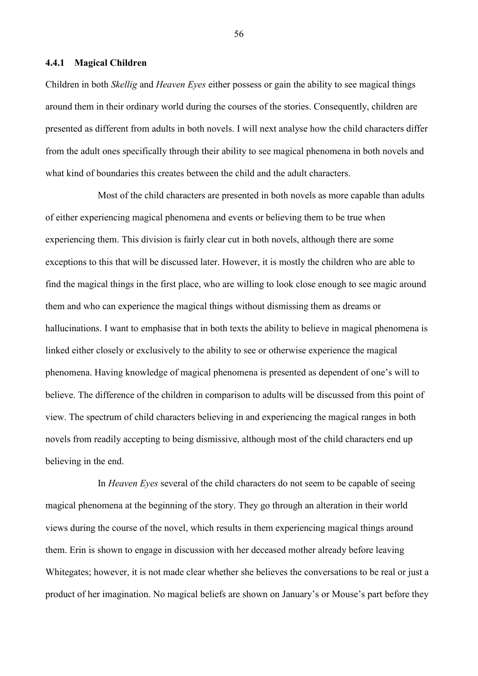#### **4.4.1 Magical Children**

Children in both *Skellig* and *Heaven Eyes* either possess or gain the ability to see magical things around them in their ordinary world during the courses of the stories. Consequently, children are presented as different from adults in both novels. I will next analyse how the child characters differ from the adult ones specifically through their ability to see magical phenomena in both novels and what kind of boundaries this creates between the child and the adult characters.

Most of the child characters are presented in both novels as more capable than adults of either experiencing magical phenomena and events or believing them to be true when experiencing them. This division is fairly clear cut in both novels, although there are some exceptions to this that will be discussed later. However, it is mostly the children who are able to find the magical things in the first place, who are willing to look close enough to see magic around them and who can experience the magical things without dismissing them as dreams or hallucinations. I want to emphasise that in both texts the ability to believe in magical phenomena is linked either closely or exclusively to the ability to see or otherwise experience the magical phenomena. Having knowledge of magical phenomena is presented as dependent of one's will to believe. The difference of the children in comparison to adults will be discussed from this point of view. The spectrum of child characters believing in and experiencing the magical ranges in both novels from readily accepting to being dismissive, although most of the child characters end up believing in the end.

In *Heaven Eyes* several of the child characters do not seem to be capable of seeing magical phenomena at the beginning of the story. They go through an alteration in their world views during the course of the novel, which results in them experiencing magical things around them. Erin is shown to engage in discussion with her deceased mother already before leaving Whitegates; however, it is not made clear whether she believes the conversations to be real or just a product of her imagination. No magical beliefs are shown on January's or Mouse's part before they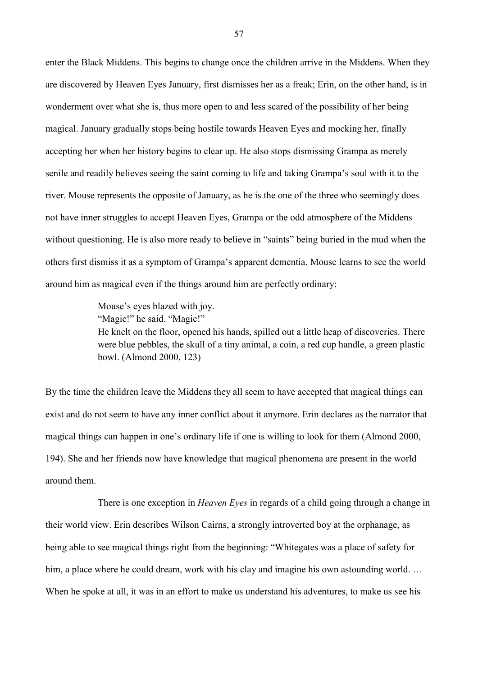enter the Black Middens. This begins to change once the children arrive in the Middens. When they are discovered by Heaven Eyes January, first dismisses her as a freak; Erin, on the other hand, is in wonderment over what she is, thus more open to and less scared of the possibility of her being magical. January gradually stops being hostile towards Heaven Eyes and mocking her, finally accepting her when her history begins to clear up. He also stops dismissing Grampa as merely senile and readily believes seeing the saint coming to life and taking Grampa's soul with it to the river. Mouse represents the opposite of January, as he is the one of the three who seemingly does not have inner struggles to accept Heaven Eyes, Grampa or the odd atmosphere of the Middens without questioning. He is also more ready to believe in "saints" being buried in the mud when the others first dismiss it as a symptom of Grampa's apparent dementia. Mouse learns to see the world around him as magical even if the things around him are perfectly ordinary:

Mouse's eyes blazed with joy.

"Magic!" he said. "Magic!"

He knelt on the floor, opened his hands, spilled out a little heap of discoveries. There were blue pebbles, the skull of a tiny animal, a coin, a red cup handle, a green plastic bowl. (Almond 2000, 123)

By the time the children leave the Middens they all seem to have accepted that magical things can exist and do not seem to have any inner conflict about it anymore. Erin declares as the narrator that magical things can happen in one's ordinary life if one is willing to look for them (Almond 2000, 194). She and her friends now have knowledge that magical phenomena are present in the world around them.

There is one exception in *Heaven Eyes* in regards of a child going through a change in their world view. Erin describes Wilson Cairns, a strongly introverted boy at the orphanage, as being able to see magical things right from the beginning: "Whitegates was a place of safety for him, a place where he could dream, work with his clay and imagine his own astounding world. … When he spoke at all, it was in an effort to make us understand his adventures, to make us see his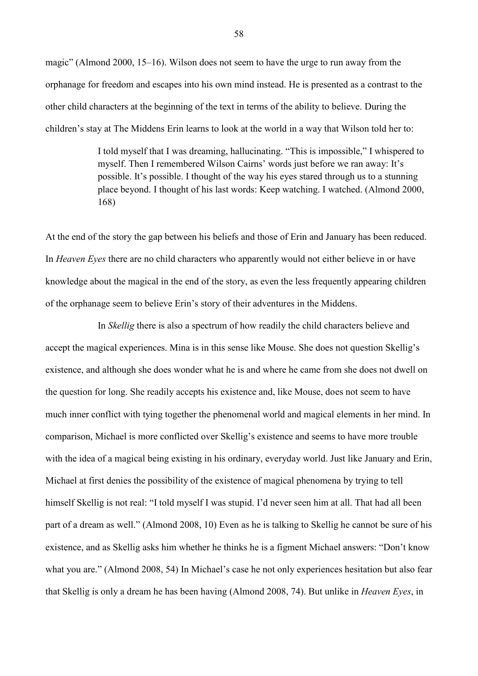magic" (Almond 2000, 15–16). Wilson does not seem to have the urge to run away from the orphanage for freedom and escapes into his own mind instead. He is presented as a contrast to the other child characters at the beginning of the text in terms of the ability to believe. During the children's stay at The Middens Erin learns to look at the world in a way that Wilson told her to:

> I told myself that I was dreaming, hallucinating. "This is impossible," I whispered to myself. Then I remembered Wilson Cairns' words just before we ran away: It's possible. It's possible. I thought of the way his eyes stared through us to a stunning place beyond. I thought of his last words: Keep watching. I watched. (Almond 2000, 168)

At the end of the story the gap between his beliefs and those of Erin and January has been reduced. In *Heaven Eyes* there are no child characters who apparently would not either believe in or have knowledge about the magical in the end of the story, as even the less frequently appearing children of the orphanage seem to believe Erin's story of their adventures in the Middens.

In *Skellig* there is also a spectrum of how readily the child characters believe and accept the magical experiences. Mina is in this sense like Mouse. She does not question Skellig's existence, and although she does wonder what he is and where he came from she does not dwell on the question for long. She readily accepts his existence and, like Mouse, does not seem to have much inner conflict with tying together the phenomenal world and magical elements in her mind. In comparison, Michael is more conflicted over Skellig's existence and seems to have more trouble with the idea of a magical being existing in his ordinary, everyday world. Just like January and Erin, Michael at first denies the possibility of the existence of magical phenomena by trying to tell himself Skellig is not real: "I told myself I was stupid. I'd never seen him at all. That had all been part of a dream as well." (Almond 2008, 10) Even as he is talking to Skellig he cannot be sure of his existence, and as Skellig asks him whether he thinks he is a figment Michael answers: "Don't know what you are." (Almond 2008, 54) In Michael's case he not only experiences hesitation but also fear that Skellig is only a dream he has been having (Almond 2008, 74). But unlike in *Heaven Eyes*, in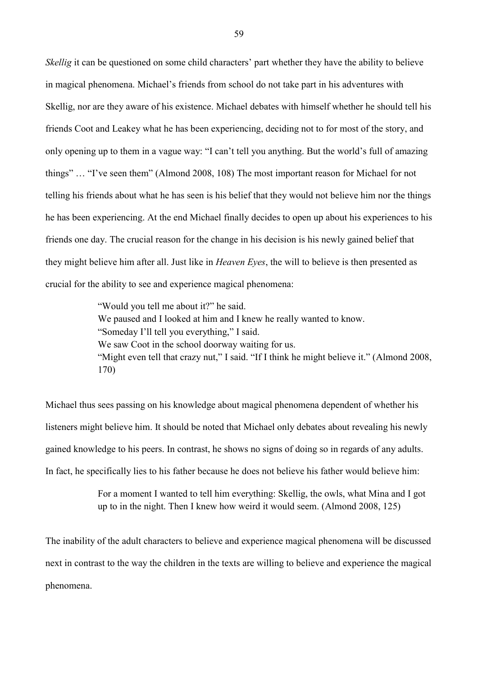*Skellig* it can be questioned on some child characters' part whether they have the ability to believe in magical phenomena. Michael's friends from school do not take part in his adventures with Skellig, nor are they aware of his existence. Michael debates with himself whether he should tell his friends Coot and Leakey what he has been experiencing, deciding not to for most of the story, and only opening up to them in a vague way: "I can't tell you anything. But the world's full of amazing things" … "I've seen them" (Almond 2008, 108) The most important reason for Michael for not telling his friends about what he has seen is his belief that they would not believe him nor the things he has been experiencing. At the end Michael finally decides to open up about his experiences to his friends one day. The crucial reason for the change in his decision is his newly gained belief that they might believe him after all. Just like in *Heaven Eyes*, the will to believe is then presented as crucial for the ability to see and experience magical phenomena:

> "Would you tell me about it?" he said. We paused and I looked at him and I knew he really wanted to know. "Someday I'll tell you everything," I said. We saw Coot in the school doorway waiting for us. "Might even tell that crazy nut," I said. "If I think he might believe it." (Almond 2008, 170)

Michael thus sees passing on his knowledge about magical phenomena dependent of whether his listeners might believe him. It should be noted that Michael only debates about revealing his newly gained knowledge to his peers. In contrast, he shows no signs of doing so in regards of any adults. In fact, he specifically lies to his father because he does not believe his father would believe him:

> For a moment I wanted to tell him everything: Skellig, the owls, what Mina and I got up to in the night. Then I knew how weird it would seem. (Almond 2008, 125)

The inability of the adult characters to believe and experience magical phenomena will be discussed next in contrast to the way the children in the texts are willing to believe and experience the magical phenomena.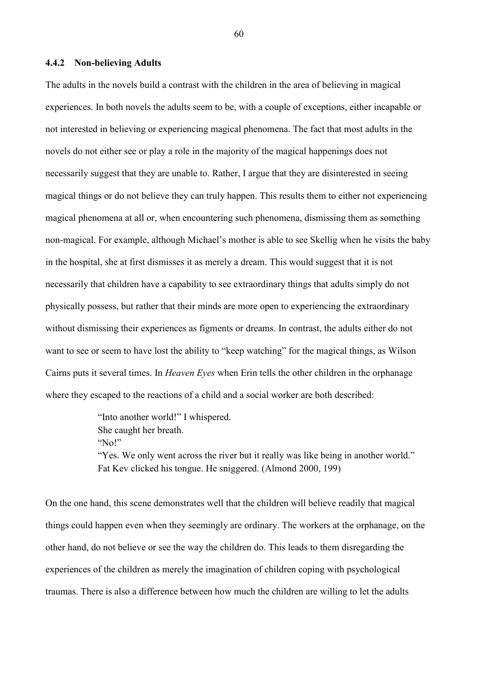#### **4.4.2 Non-believing Adults**

The adults in the novels build a contrast with the children in the area of believing in magical experiences. In both novels the adults seem to be, with a couple of exceptions, either incapable or not interested in believing or experiencing magical phenomena. The fact that most adults in the novels do not either see or play a role in the majority of the magical happenings does not necessarily suggest that they are unable to. Rather, I argue that they are disinterested in seeing magical things or do not believe they can truly happen. This results them to either not experiencing magical phenomena at all or, when encountering such phenomena, dismissing them as something non-magical. For example, although Michael's mother is able to see Skellig when he visits the baby in the hospital, she at first dismisses it as merely a dream. This would suggest that it is not necessarily that children have a capability to see extraordinary things that adults simply do not physically possess, but rather that their minds are more open to experiencing the extraordinary without dismissing their experiences as figments or dreams. In contrast, the adults either do not want to see or seem to have lost the ability to "keep watching" for the magical things, as Wilson Cairns puts it several times. In *Heaven Eyes* when Erin tells the other children in the orphanage where they escaped to the reactions of a child and a social worker are both described:

> "Into another world!" I whispered. She caught her breath. "No!" "Yes. We only went across the river but it really was like being in another world." Fat Kev clicked his tongue. He sniggered. (Almond 2000, 199)

On the one hand, this scene demonstrates well that the children will believe readily that magical things could happen even when they seemingly are ordinary. The workers at the orphanage, on the other hand, do not believe or see the way the children do. This leads to them disregarding the experiences of the children as merely the imagination of children coping with psychological traumas. There is also a difference between how much the children are willing to let the adults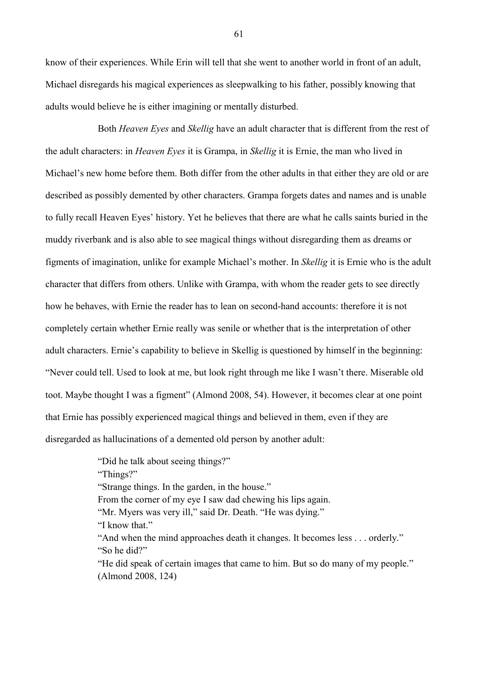know of their experiences. While Erin will tell that she went to another world in front of an adult, Michael disregards his magical experiences as sleepwalking to his father, possibly knowing that adults would believe he is either imagining or mentally disturbed.

Both *Heaven Eyes* and *Skellig* have an adult character that is different from the rest of the adult characters: in *Heaven Eyes* it is Grampa, in *Skellig* it is Ernie, the man who lived in Michael's new home before them. Both differ from the other adults in that either they are old or are described as possibly demented by other characters. Grampa forgets dates and names and is unable to fully recall Heaven Eyes' history. Yet he believes that there are what he calls saints buried in the muddy riverbank and is also able to see magical things without disregarding them as dreams or figments of imagination, unlike for example Michael's mother. In *Skellig* it is Ernie who is the adult character that differs from others. Unlike with Grampa, with whom the reader gets to see directly how he behaves, with Ernie the reader has to lean on second-hand accounts: therefore it is not completely certain whether Ernie really was senile or whether that is the interpretation of other adult characters. Ernie's capability to believe in Skellig is questioned by himself in the beginning: "Never could tell. Used to look at me, but look right through me like I wasn't there. Miserable old toot. Maybe thought I was a figment" (Almond 2008, 54). However, it becomes clear at one point that Ernie has possibly experienced magical things and believed in them, even if they are disregarded as hallucinations of a demented old person by another adult:

> "Did he talk about seeing things?" "Things?" "Strange things. In the garden, in the house." From the corner of my eye I saw dad chewing his lips again. "Mr. Myers was very ill," said Dr. Death. "He was dying." "I know that." "And when the mind approaches death it changes. It becomes less . . . orderly." "So he did?" "He did speak of certain images that came to him. But so do many of my people." (Almond 2008, 124)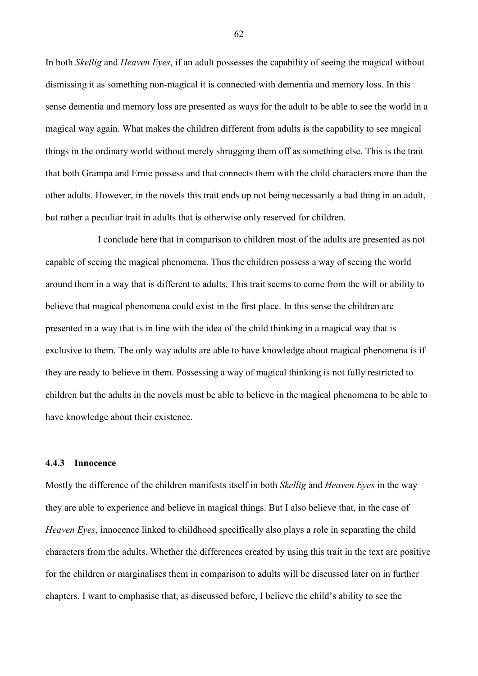In both *Skellig* and *Heaven Eyes*, if an adult possesses the capability of seeing the magical without dismissing it as something non-magical it is connected with dementia and memory loss. In this sense dementia and memory loss are presented as ways for the adult to be able to see the world in a magical way again. What makes the children different from adults is the capability to see magical things in the ordinary world without merely shrugging them off as something else. This is the trait that both Grampa and Ernie possess and that connects them with the child characters more than the other adults. However, in the novels this trait ends up not being necessarily a bad thing in an adult, but rather a peculiar trait in adults that is otherwise only reserved for children.

I conclude here that in comparison to children most of the adults are presented as not capable of seeing the magical phenomena. Thus the children possess a way of seeing the world around them in a way that is different to adults. This trait seems to come from the will or ability to believe that magical phenomena could exist in the first place. In this sense the children are presented in a way that is in line with the idea of the child thinking in a magical way that is exclusive to them. The only way adults are able to have knowledge about magical phenomena is if they are ready to believe in them. Possessing a way of magical thinking is not fully restricted to children but the adults in the novels must be able to believe in the magical phenomena to be able to have knowledge about their existence.

## **4.4.3 Innocence**

Mostly the difference of the children manifests itself in both *Skellig* and *Heaven Eyes* in the way they are able to experience and believe in magical things. But I also believe that, in the case of *Heaven Eyes*, innocence linked to childhood specifically also plays a role in separating the child characters from the adults. Whether the differences created by using this trait in the text are positive for the children or marginalises them in comparison to adults will be discussed later on in further chapters. I want to emphasise that, as discussed before, I believe the child's ability to see the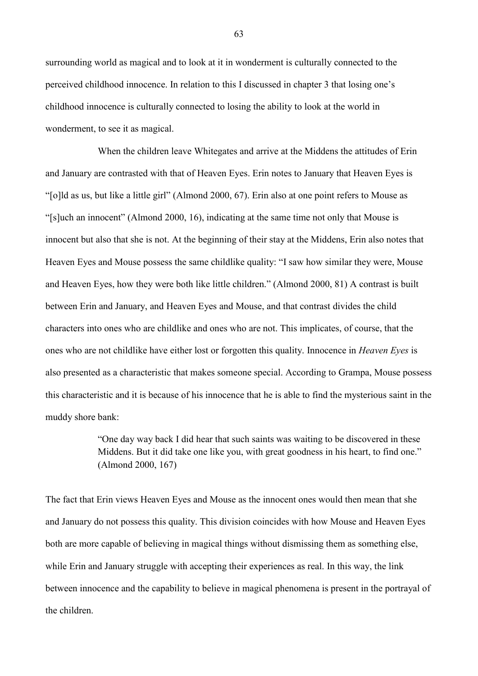surrounding world as magical and to look at it in wonderment is culturally connected to the perceived childhood innocence. In relation to this I discussed in chapter 3 that losing one's childhood innocence is culturally connected to losing the ability to look at the world in wonderment, to see it as magical.

When the children leave Whitegates and arrive at the Middens the attitudes of Erin and January are contrasted with that of Heaven Eyes. Erin notes to January that Heaven Eyes is "[o]ld as us, but like a little girl" (Almond 2000, 67). Erin also at one point refers to Mouse as "[s]uch an innocent" (Almond 2000, 16), indicating at the same time not only that Mouse is innocent but also that she is not. At the beginning of their stay at the Middens, Erin also notes that Heaven Eyes and Mouse possess the same childlike quality: "I saw how similar they were, Mouse and Heaven Eyes, how they were both like little children." (Almond 2000, 81) A contrast is built between Erin and January, and Heaven Eyes and Mouse, and that contrast divides the child characters into ones who are childlike and ones who are not. This implicates, of course, that the ones who are not childlike have either lost or forgotten this quality. Innocence in *Heaven Eyes* is also presented as a characteristic that makes someone special. According to Grampa, Mouse possess this characteristic and it is because of his innocence that he is able to find the mysterious saint in the muddy shore bank:

> "One day way back I did hear that such saints was waiting to be discovered in these Middens. But it did take one like you, with great goodness in his heart, to find one." (Almond 2000, 167)

The fact that Erin views Heaven Eyes and Mouse as the innocent ones would then mean that she and January do not possess this quality. This division coincides with how Mouse and Heaven Eyes both are more capable of believing in magical things without dismissing them as something else, while Erin and January struggle with accepting their experiences as real. In this way, the link between innocence and the capability to believe in magical phenomena is present in the portrayal of the children.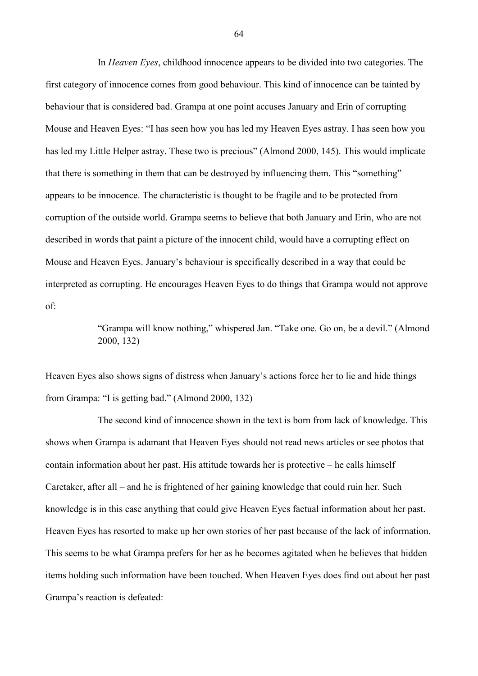In *Heaven Eyes*, childhood innocence appears to be divided into two categories. The first category of innocence comes from good behaviour. This kind of innocence can be tainted by behaviour that is considered bad. Grampa at one point accuses January and Erin of corrupting Mouse and Heaven Eyes: "I has seen how you has led my Heaven Eyes astray. I has seen how you has led my Little Helper astray. These two is precious" (Almond 2000, 145). This would implicate that there is something in them that can be destroyed by influencing them. This "something" appears to be innocence. The characteristic is thought to be fragile and to be protected from corruption of the outside world. Grampa seems to believe that both January and Erin, who are not described in words that paint a picture of the innocent child, would have a corrupting effect on Mouse and Heaven Eyes. January's behaviour is specifically described in a way that could be interpreted as corrupting. He encourages Heaven Eyes to do things that Grampa would not approve of:

> "Grampa will know nothing," whispered Jan. "Take one. Go on, be a devil." (Almond 2000, 132)

Heaven Eyes also shows signs of distress when January's actions force her to lie and hide things from Grampa: "I is getting bad." (Almond 2000, 132)

The second kind of innocence shown in the text is born from lack of knowledge. This shows when Grampa is adamant that Heaven Eyes should not read news articles or see photos that contain information about her past. His attitude towards her is protective – he calls himself Caretaker, after all – and he is frightened of her gaining knowledge that could ruin her. Such knowledge is in this case anything that could give Heaven Eyes factual information about her past. Heaven Eyes has resorted to make up her own stories of her past because of the lack of information. This seems to be what Grampa prefers for her as he becomes agitated when he believes that hidden items holding such information have been touched. When Heaven Eyes does find out about her past Grampa's reaction is defeated: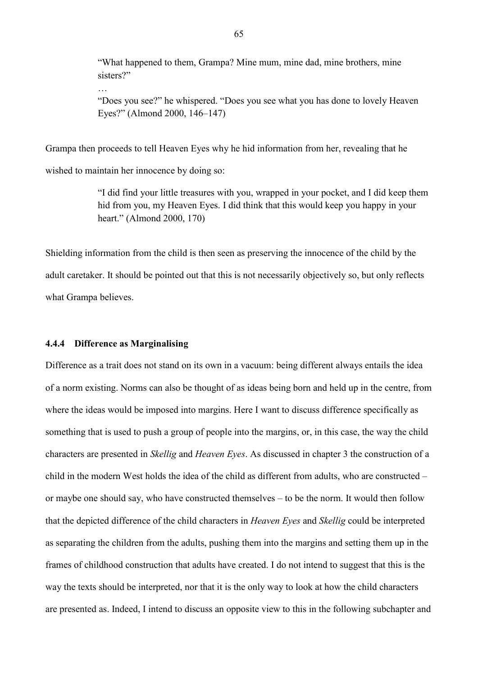"What happened to them, Grampa? Mine mum, mine dad, mine brothers, mine sisters?"

…

"Does you see?" he whispered. "Does you see what you has done to lovely Heaven Eyes?" (Almond 2000, 146–147)

Grampa then proceeds to tell Heaven Eyes why he hid information from her, revealing that he wished to maintain her innocence by doing so:

> "I did find your little treasures with you, wrapped in your pocket, and I did keep them hid from you, my Heaven Eyes. I did think that this would keep you happy in your heart." (Almond 2000, 170)

Shielding information from the child is then seen as preserving the innocence of the child by the adult caretaker. It should be pointed out that this is not necessarily objectively so, but only reflects what Grampa believes.

## **4.4.4 Difference as Marginalising**

Difference as a trait does not stand on its own in a vacuum: being different always entails the idea of a norm existing. Norms can also be thought of as ideas being born and held up in the centre, from where the ideas would be imposed into margins. Here I want to discuss difference specifically as something that is used to push a group of people into the margins, or, in this case, the way the child characters are presented in *Skellig* and *Heaven Eyes*. As discussed in chapter 3 the construction of a child in the modern West holds the idea of the child as different from adults, who are constructed – or maybe one should say, who have constructed themselves – to be the norm. It would then follow that the depicted difference of the child characters in *Heaven Eyes* and *Skellig* could be interpreted as separating the children from the adults, pushing them into the margins and setting them up in the frames of childhood construction that adults have created. I do not intend to suggest that this is the way the texts should be interpreted, nor that it is the only way to look at how the child characters are presented as. Indeed, I intend to discuss an opposite view to this in the following subchapter and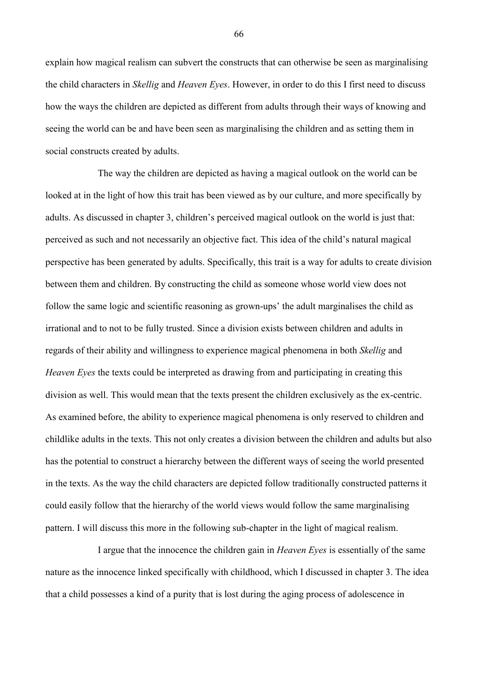explain how magical realism can subvert the constructs that can otherwise be seen as marginalising the child characters in *Skellig* and *Heaven Eyes*. However, in order to do this I first need to discuss how the ways the children are depicted as different from adults through their ways of knowing and seeing the world can be and have been seen as marginalising the children and as setting them in social constructs created by adults.

The way the children are depicted as having a magical outlook on the world can be looked at in the light of how this trait has been viewed as by our culture, and more specifically by adults. As discussed in chapter 3, children's perceived magical outlook on the world is just that: perceived as such and not necessarily an objective fact. This idea of the child's natural magical perspective has been generated by adults. Specifically, this trait is a way for adults to create division between them and children. By constructing the child as someone whose world view does not follow the same logic and scientific reasoning as grown-ups' the adult marginalises the child as irrational and to not to be fully trusted. Since a division exists between children and adults in regards of their ability and willingness to experience magical phenomena in both *Skellig* and *Heaven Eyes* the texts could be interpreted as drawing from and participating in creating this division as well. This would mean that the texts present the children exclusively as the ex-centric. As examined before, the ability to experience magical phenomena is only reserved to children and childlike adults in the texts. This not only creates a division between the children and adults but also has the potential to construct a hierarchy between the different ways of seeing the world presented in the texts. As the way the child characters are depicted follow traditionally constructed patterns it could easily follow that the hierarchy of the world views would follow the same marginalising pattern. I will discuss this more in the following sub-chapter in the light of magical realism.

I argue that the innocence the children gain in *Heaven Eyes* is essentially of the same nature as the innocence linked specifically with childhood, which I discussed in chapter 3. The idea that a child possesses a kind of a purity that is lost during the aging process of adolescence in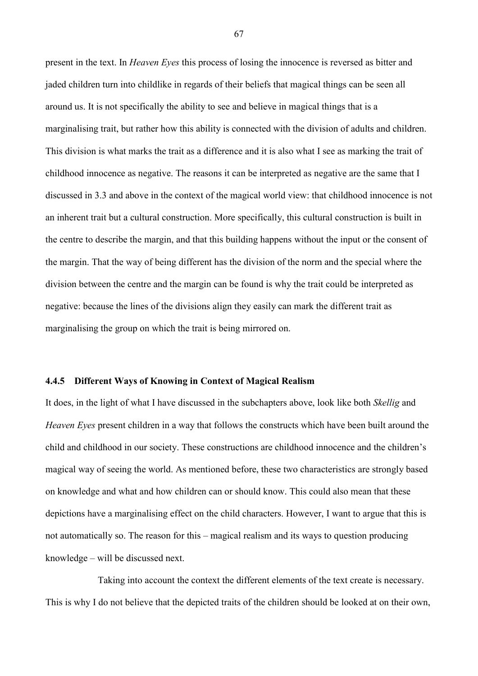present in the text. In *Heaven Eyes* this process of losing the innocence is reversed as bitter and jaded children turn into childlike in regards of their beliefs that magical things can be seen all around us. It is not specifically the ability to see and believe in magical things that is a marginalising trait, but rather how this ability is connected with the division of adults and children. This division is what marks the trait as a difference and it is also what I see as marking the trait of childhood innocence as negative. The reasons it can be interpreted as negative are the same that I discussed in 3.3 and above in the context of the magical world view: that childhood innocence is not an inherent trait but a cultural construction. More specifically, this cultural construction is built in the centre to describe the margin, and that this building happens without the input or the consent of the margin. That the way of being different has the division of the norm and the special where the division between the centre and the margin can be found is why the trait could be interpreted as negative: because the lines of the divisions align they easily can mark the different trait as marginalising the group on which the trait is being mirrored on.

#### **4.4.5 Different Ways of Knowing in Context of Magical Realism**

It does, in the light of what I have discussed in the subchapters above, look like both *Skellig* and *Heaven Eyes* present children in a way that follows the constructs which have been built around the child and childhood in our society. These constructions are childhood innocence and the children's magical way of seeing the world. As mentioned before, these two characteristics are strongly based on knowledge and what and how children can or should know. This could also mean that these depictions have a marginalising effect on the child characters. However, I want to argue that this is not automatically so. The reason for this – magical realism and its ways to question producing knowledge – will be discussed next.

Taking into account the context the different elements of the text create is necessary. This is why I do not believe that the depicted traits of the children should be looked at on their own,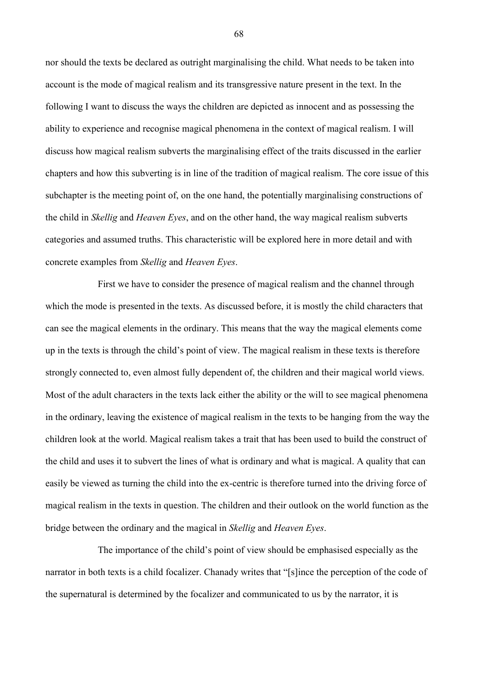nor should the texts be declared as outright marginalising the child. What needs to be taken into account is the mode of magical realism and its transgressive nature present in the text. In the following I want to discuss the ways the children are depicted as innocent and as possessing the ability to experience and recognise magical phenomena in the context of magical realism. I will discuss how magical realism subverts the marginalising effect of the traits discussed in the earlier chapters and how this subverting is in line of the tradition of magical realism. The core issue of this subchapter is the meeting point of, on the one hand, the potentially marginalising constructions of the child in *Skellig* and *Heaven Eyes*, and on the other hand, the way magical realism subverts categories and assumed truths. This characteristic will be explored here in more detail and with concrete examples from *Skellig* and *Heaven Eyes*.

First we have to consider the presence of magical realism and the channel through which the mode is presented in the texts. As discussed before, it is mostly the child characters that can see the magical elements in the ordinary. This means that the way the magical elements come up in the texts is through the child's point of view. The magical realism in these texts is therefore strongly connected to, even almost fully dependent of, the children and their magical world views. Most of the adult characters in the texts lack either the ability or the will to see magical phenomena in the ordinary, leaving the existence of magical realism in the texts to be hanging from the way the children look at the world. Magical realism takes a trait that has been used to build the construct of the child and uses it to subvert the lines of what is ordinary and what is magical. A quality that can easily be viewed as turning the child into the ex-centric is therefore turned into the driving force of magical realism in the texts in question. The children and their outlook on the world function as the bridge between the ordinary and the magical in *Skellig* and *Heaven Eyes*.

The importance of the child's point of view should be emphasised especially as the narrator in both texts is a child focalizer. Chanady writes that "[s]ince the perception of the code of the supernatural is determined by the focalizer and communicated to us by the narrator, it is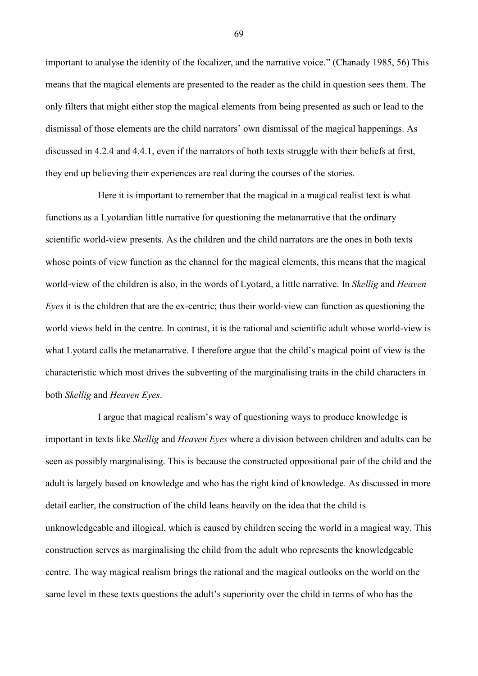important to analyse the identity of the focalizer, and the narrative voice." (Chanady 1985, 56) This means that the magical elements are presented to the reader as the child in question sees them. The only filters that might either stop the magical elements from being presented as such or lead to the dismissal of those elements are the child narrators' own dismissal of the magical happenings. As discussed in 4.2.4 and 4.4.1, even if the narrators of both texts struggle with their beliefs at first, they end up believing their experiences are real during the courses of the stories.

Here it is important to remember that the magical in a magical realist text is what functions as a Lyotardian little narrative for questioning the metanarrative that the ordinary scientific world-view presents. As the children and the child narrators are the ones in both texts whose points of view function as the channel for the magical elements, this means that the magical world-view of the children is also, in the words of Lyotard, a little narrative. In *Skellig* and *Heaven Eyes* it is the children that are the ex-centric; thus their world-view can function as questioning the world views held in the centre. In contrast, it is the rational and scientific adult whose world-view is what Lyotard calls the metanarrative. I therefore argue that the child's magical point of view is the characteristic which most drives the subverting of the marginalising traits in the child characters in both *Skellig* and *Heaven Eyes*.

I argue that magical realism's way of questioning ways to produce knowledge is important in texts like *Skellig* and *Heaven Eyes* where a division between children and adults can be seen as possibly marginalising. This is because the constructed oppositional pair of the child and the adult is largely based on knowledge and who has the right kind of knowledge. As discussed in more detail earlier, the construction of the child leans heavily on the idea that the child is unknowledgeable and illogical, which is caused by children seeing the world in a magical way. This construction serves as marginalising the child from the adult who represents the knowledgeable centre. The way magical realism brings the rational and the magical outlooks on the world on the same level in these texts questions the adult's superiority over the child in terms of who has the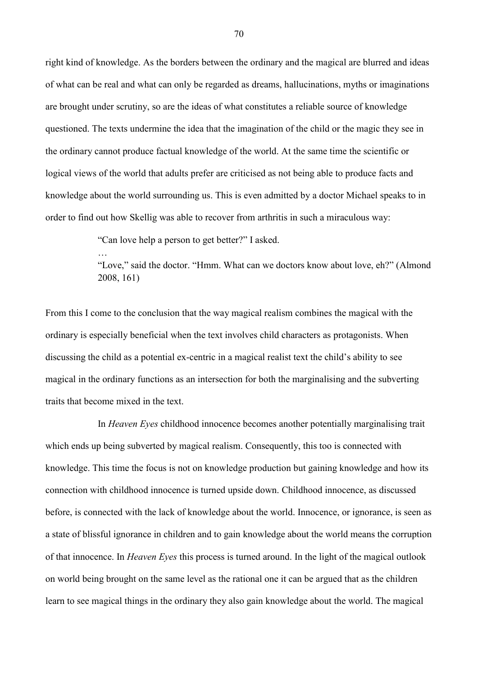right kind of knowledge. As the borders between the ordinary and the magical are blurred and ideas of what can be real and what can only be regarded as dreams, hallucinations, myths or imaginations are brought under scrutiny, so are the ideas of what constitutes a reliable source of knowledge questioned. The texts undermine the idea that the imagination of the child or the magic they see in the ordinary cannot produce factual knowledge of the world. At the same time the scientific or logical views of the world that adults prefer are criticised as not being able to produce facts and knowledge about the world surrounding us. This is even admitted by a doctor Michael speaks to in order to find out how Skellig was able to recover from arthritis in such a miraculous way:

"Can love help a person to get better?" I asked.

…

"Love," said the doctor. "Hmm. What can we doctors know about love, eh?" (Almond 2008, 161)

From this I come to the conclusion that the way magical realism combines the magical with the ordinary is especially beneficial when the text involves child characters as protagonists. When discussing the child as a potential ex-centric in a magical realist text the child's ability to see magical in the ordinary functions as an intersection for both the marginalising and the subverting traits that become mixed in the text.

In *Heaven Eyes* childhood innocence becomes another potentially marginalising trait which ends up being subverted by magical realism. Consequently, this too is connected with knowledge. This time the focus is not on knowledge production but gaining knowledge and how its connection with childhood innocence is turned upside down. Childhood innocence, as discussed before, is connected with the lack of knowledge about the world. Innocence, or ignorance, is seen as a state of blissful ignorance in children and to gain knowledge about the world means the corruption of that innocence. In *Heaven Eyes* this process is turned around. In the light of the magical outlook on world being brought on the same level as the rational one it can be argued that as the children learn to see magical things in the ordinary they also gain knowledge about the world. The magical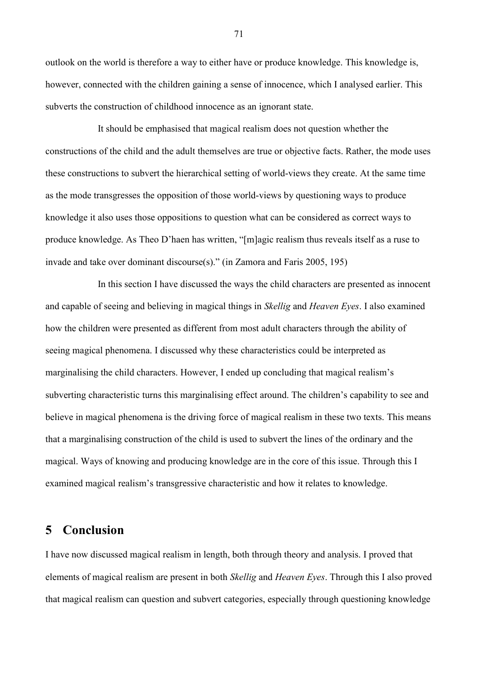outlook on the world is therefore a way to either have or produce knowledge. This knowledge is, however, connected with the children gaining a sense of innocence, which I analysed earlier. This subverts the construction of childhood innocence as an ignorant state.

It should be emphasised that magical realism does not question whether the constructions of the child and the adult themselves are true or objective facts. Rather, the mode uses these constructions to subvert the hierarchical setting of world-views they create. At the same time as the mode transgresses the opposition of those world-views by questioning ways to produce knowledge it also uses those oppositions to question what can be considered as correct ways to produce knowledge. As Theo D'haen has written, "[m]agic realism thus reveals itself as a ruse to invade and take over dominant discourse(s)." (in Zamora and Faris 2005, 195)

In this section I have discussed the ways the child characters are presented as innocent and capable of seeing and believing in magical things in *Skellig* and *Heaven Eyes*. I also examined how the children were presented as different from most adult characters through the ability of seeing magical phenomena. I discussed why these characteristics could be interpreted as marginalising the child characters. However, I ended up concluding that magical realism's subverting characteristic turns this marginalising effect around. The children's capability to see and believe in magical phenomena is the driving force of magical realism in these two texts. This means that a marginalising construction of the child is used to subvert the lines of the ordinary and the magical. Ways of knowing and producing knowledge are in the core of this issue. Through this I examined magical realism's transgressive characteristic and how it relates to knowledge.

## **5 Conclusion**

I have now discussed magical realism in length, both through theory and analysis. I proved that elements of magical realism are present in both *Skellig* and *Heaven Eyes*. Through this I also proved that magical realism can question and subvert categories, especially through questioning knowledge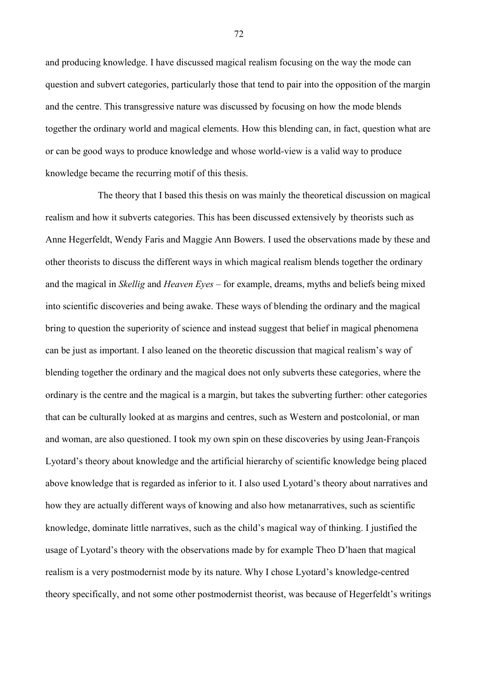and producing knowledge. I have discussed magical realism focusing on the way the mode can question and subvert categories, particularly those that tend to pair into the opposition of the margin and the centre. This transgressive nature was discussed by focusing on how the mode blends together the ordinary world and magical elements. How this blending can, in fact, question what are or can be good ways to produce knowledge and whose world-view is a valid way to produce knowledge became the recurring motif of this thesis.

The theory that I based this thesis on was mainly the theoretical discussion on magical realism and how it subverts categories. This has been discussed extensively by theorists such as Anne Hegerfeldt, Wendy Faris and Maggie Ann Bowers. I used the observations made by these and other theorists to discuss the different ways in which magical realism blends together the ordinary and the magical in *Skellig* and *Heaven Eyes* – for example, dreams, myths and beliefs being mixed into scientific discoveries and being awake. These ways of blending the ordinary and the magical bring to question the superiority of science and instead suggest that belief in magical phenomena can be just as important. I also leaned on the theoretic discussion that magical realism's way of blending together the ordinary and the magical does not only subverts these categories, where the ordinary is the centre and the magical is a margin, but takes the subverting further: other categories that can be culturally looked at as margins and centres, such as Western and postcolonial, or man and woman, are also questioned. I took my own spin on these discoveries by using Jean-François Lyotard's theory about knowledge and the artificial hierarchy of scientific knowledge being placed above knowledge that is regarded as inferior to it. I also used Lyotard's theory about narratives and how they are actually different ways of knowing and also how metanarratives, such as scientific knowledge, dominate little narratives, such as the child's magical way of thinking. I justified the usage of Lyotard's theory with the observations made by for example Theo D'haen that magical realism is a very postmodernist mode by its nature. Why I chose Lyotard's knowledge-centred theory specifically, and not some other postmodernist theorist, was because of Hegerfeldt's writings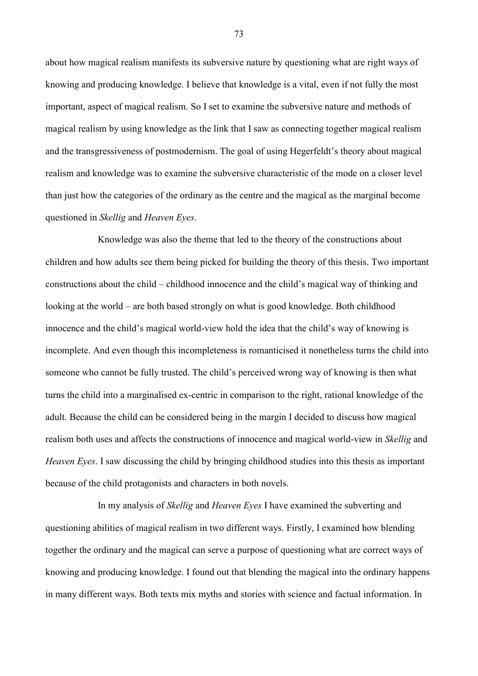about how magical realism manifests its subversive nature by questioning what are right ways of knowing and producing knowledge. I believe that knowledge is a vital, even if not fully the most important, aspect of magical realism. So I set to examine the subversive nature and methods of magical realism by using knowledge as the link that I saw as connecting together magical realism and the transgressiveness of postmodernism. The goal of using Hegerfeldt's theory about magical realism and knowledge was to examine the subversive characteristic of the mode on a closer level than just how the categories of the ordinary as the centre and the magical as the marginal become questioned in *Skellig* and *Heaven Eyes*.

Knowledge was also the theme that led to the theory of the constructions about children and how adults see them being picked for building the theory of this thesis. Two important constructions about the child – childhood innocence and the child's magical way of thinking and looking at the world – are both based strongly on what is good knowledge. Both childhood innocence and the child's magical world-view hold the idea that the child's way of knowing is incomplete. And even though this incompleteness is romanticised it nonetheless turns the child into someone who cannot be fully trusted. The child's perceived wrong way of knowing is then what turns the child into a marginalised ex-centric in comparison to the right, rational knowledge of the adult. Because the child can be considered being in the margin I decided to discuss how magical realism both uses and affects the constructions of innocence and magical world-view in *Skellig* and *Heaven Eyes*. I saw discussing the child by bringing childhood studies into this thesis as important because of the child protagonists and characters in both novels.

In my analysis of *Skellig* and *Heaven Eyes* I have examined the subverting and questioning abilities of magical realism in two different ways. Firstly, I examined how blending together the ordinary and the magical can serve a purpose of questioning what are correct ways of knowing and producing knowledge. I found out that blending the magical into the ordinary happens in many different ways. Both texts mix myths and stories with science and factual information. In

73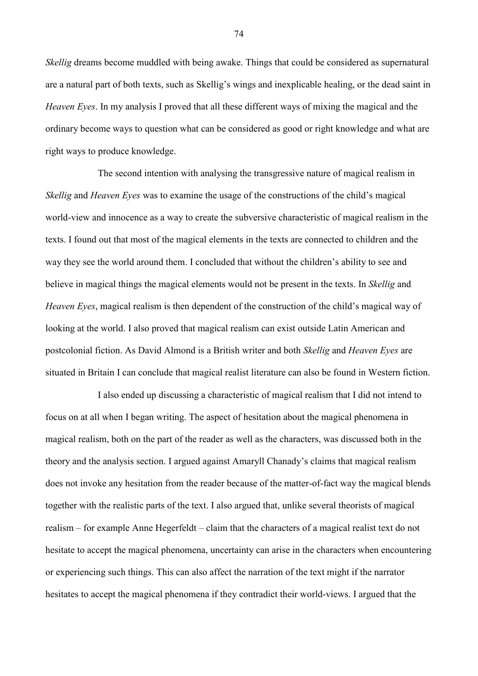*Skellig* dreams become muddled with being awake. Things that could be considered as supernatural are a natural part of both texts, such as Skellig's wings and inexplicable healing, or the dead saint in *Heaven Eyes*. In my analysis I proved that all these different ways of mixing the magical and the ordinary become ways to question what can be considered as good or right knowledge and what are right ways to produce knowledge.

The second intention with analysing the transgressive nature of magical realism in *Skellig* and *Heaven Eyes* was to examine the usage of the constructions of the child's magical world-view and innocence as a way to create the subversive characteristic of magical realism in the texts. I found out that most of the magical elements in the texts are connected to children and the way they see the world around them. I concluded that without the children's ability to see and believe in magical things the magical elements would not be present in the texts. In *Skellig* and *Heaven Eyes*, magical realism is then dependent of the construction of the child's magical way of looking at the world. I also proved that magical realism can exist outside Latin American and postcolonial fiction. As David Almond is a British writer and both *Skellig* and *Heaven Eyes* are situated in Britain I can conclude that magical realist literature can also be found in Western fiction.

I also ended up discussing a characteristic of magical realism that I did not intend to focus on at all when I began writing. The aspect of hesitation about the magical phenomena in magical realism, both on the part of the reader as well as the characters, was discussed both in the theory and the analysis section. I argued against Amaryll Chanady's claims that magical realism does not invoke any hesitation from the reader because of the matter-of-fact way the magical blends together with the realistic parts of the text. I also argued that, unlike several theorists of magical realism – for example Anne Hegerfeldt – claim that the characters of a magical realist text do not hesitate to accept the magical phenomena, uncertainty can arise in the characters when encountering or experiencing such things. This can also affect the narration of the text might if the narrator hesitates to accept the magical phenomena if they contradict their world-views. I argued that the

74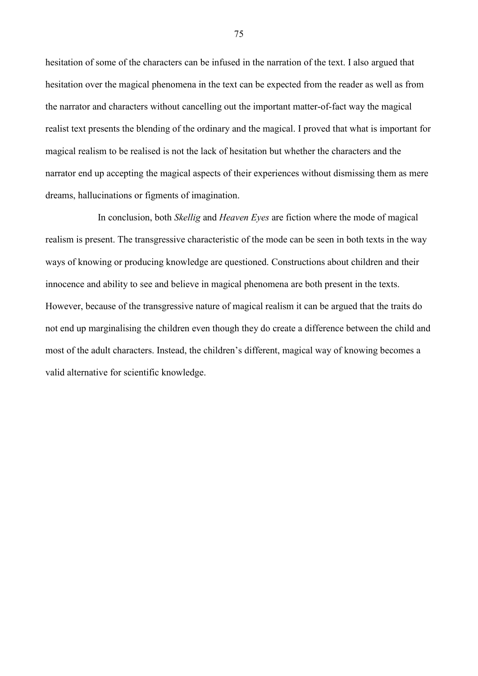hesitation of some of the characters can be infused in the narration of the text. I also argued that hesitation over the magical phenomena in the text can be expected from the reader as well as from the narrator and characters without cancelling out the important matter-of-fact way the magical realist text presents the blending of the ordinary and the magical. I proved that what is important for magical realism to be realised is not the lack of hesitation but whether the characters and the narrator end up accepting the magical aspects of their experiences without dismissing them as mere dreams, hallucinations or figments of imagination.

In conclusion, both *Skellig* and *Heaven Eyes* are fiction where the mode of magical realism is present. The transgressive characteristic of the mode can be seen in both texts in the way ways of knowing or producing knowledge are questioned. Constructions about children and their innocence and ability to see and believe in magical phenomena are both present in the texts. However, because of the transgressive nature of magical realism it can be argued that the traits do not end up marginalising the children even though they do create a difference between the child and most of the adult characters. Instead, the children's different, magical way of knowing becomes a valid alternative for scientific knowledge.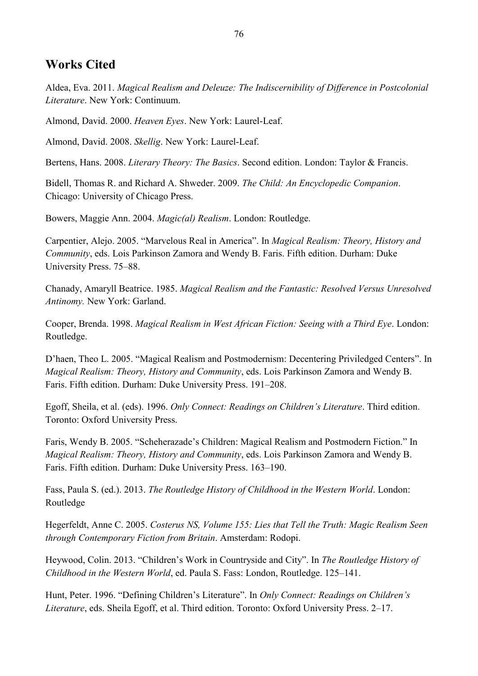## **Works Cited**

Aldea, Eva. 2011. *Magical Realism and Deleuze: The Indiscernibility of Difference in Postcolonial Literature*. New York: Continuum.

Almond, David. 2000. *Heaven Eyes*. New York: Laurel-Leaf.

Almond, David. 2008. *Skellig*. New York: Laurel-Leaf.

Bertens, Hans. 2008. *Literary Theory: The Basics*. Second edition. London: Taylor & Francis.

Bidell, Thomas R. and Richard A. Shweder. 2009. *The Child: An Encyclopedic Companion*. Chicago: University of Chicago Press.

Bowers, Maggie Ann. 2004. *Magic(al) Realism*. London: Routledge.

Carpentier, Alejo. 2005. "Marvelous Real in America". In *Magical Realism: Theory, History and Community*, eds. Lois Parkinson Zamora and Wendy B. Faris. Fifth edition. Durham: Duke University Press. 75–88.

Chanady, Amaryll Beatrice. 1985. *Magical Realism and the Fantastic: Resolved Versus Unresolved Antinomy.* New York: Garland.

Cooper, Brenda. 1998. *Magical Realism in West African Fiction: Seeing with a Third Eye*. London: Routledge.

D'haen, Theo L. 2005. "Magical Realism and Postmodernism: Decentering Priviledged Centers". In *Magical Realism: Theory, History and Community*, eds. Lois Parkinson Zamora and Wendy B. Faris. Fifth edition. Durham: Duke University Press. 191–208.

Egoff, Sheila, et al. (eds). 1996. *Only Connect: Readings on Children's Literature*. Third edition. Toronto: Oxford University Press.

Faris, Wendy B. 2005. "Scheherazade's Children: Magical Realism and Postmodern Fiction." In *Magical Realism: Theory, History and Community*, eds. Lois Parkinson Zamora and Wendy B. Faris. Fifth edition. Durham: Duke University Press. 163–190.

Fass, Paula S. (ed.). 2013. *The Routledge History of Childhood in the Western World*. London: Routledge

Hegerfeldt, Anne C. 2005. *Costerus NS, Volume 155: Lies that Tell the Truth: Magic Realism Seen through Contemporary Fiction from Britain*. Amsterdam: Rodopi.

Heywood, Colin. 2013. "Children's Work in Countryside and City". In *The Routledge History of Childhood in the Western World*, ed. Paula S. Fass: London, Routledge. 125–141.

Hunt, Peter. 1996. "Defining Children's Literature". In *Only Connect: Readings on Children's Literature*, eds. Sheila Egoff, et al. Third edition. Toronto: Oxford University Press. 2–17.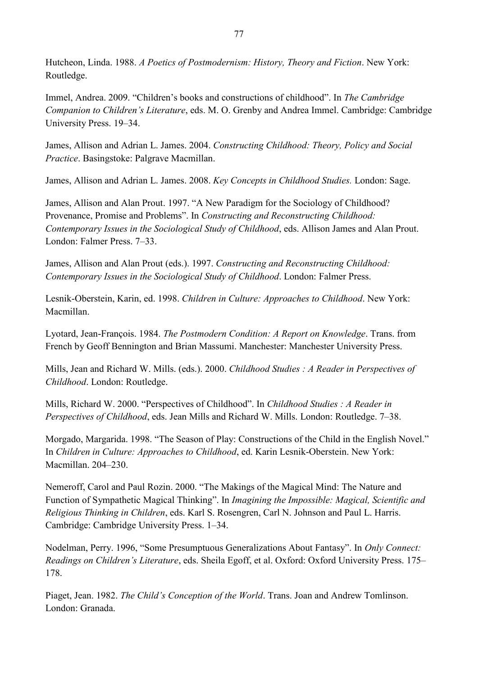Hutcheon, Linda. 1988. *A Poetics of Postmodernism: History, Theory and Fiction*. New York: Routledge.

Immel, Andrea. 2009. "Children's books and constructions of childhood". In *The Cambridge Companion to Children's Literature*, eds. M. O. Grenby and Andrea Immel. Cambridge: Cambridge University Press. 19–34.

James, Allison and Adrian L. James. 2004. *Constructing Childhood: Theory, Policy and Social Practice*. Basingstoke: Palgrave Macmillan.

James, Allison and Adrian L. James. 2008. *Key Concepts in Childhood Studies.* London: Sage.

James, Allison and Alan Prout. 1997. "A New Paradigm for the Sociology of Childhood? Provenance, Promise and Problems". In *Constructing and Reconstructing Childhood: Contemporary Issues in the Sociological Study of Childhood*, eds. Allison James and Alan Prout. London: Falmer Press. 7–33.

James, Allison and Alan Prout (eds.). 1997. *Constructing and Reconstructing Childhood: Contemporary Issues in the Sociological Study of Childhood*. London: Falmer Press.

Lesnik-Oberstein, Karin, ed. 1998. *Children in Culture: Approaches to Childhood*. New York: Macmillan.

Lyotard, Jean-François. 1984. *The Postmodern Condition: A Report on Knowledge*. Trans. from French by Geoff Bennington and Brian Massumi. Manchester: Manchester University Press.

Mills, Jean and Richard W. Mills. (eds.). 2000. *Childhood Studies : A Reader in Perspectives of Childhood*. London: Routledge.

Mills, Richard W. 2000. "Perspectives of Childhood". In *Childhood Studies : A Reader in Perspectives of Childhood*, eds. Jean Mills and Richard W. Mills. London: Routledge. 7–38.

Morgado, Margarida. 1998. "The Season of Play: Constructions of the Child in the English Novel." In *Children in Culture: Approaches to Childhood*, ed. Karin Lesnik-Oberstein. New York: Macmillan. 204–230.

Nemeroff, Carol and Paul Rozin. 2000. "The Makings of the Magical Mind: The Nature and Function of Sympathetic Magical Thinking". In *Imagining the Impossible: Magical, Scientific and Religious Thinking in Children*, eds. Karl S. Rosengren, Carl N. Johnson and Paul L. Harris. Cambridge: Cambridge University Press. 1–34.

Nodelman, Perry. 1996, "Some Presumptuous Generalizations About Fantasy". In *Only Connect: Readings on Children's Literature*, eds. Sheila Egoff, et al. Oxford: Oxford University Press. 175– 178.

Piaget, Jean. 1982. *The Child's Conception of the World*. Trans. Joan and Andrew Tomlinson. London: Granada.